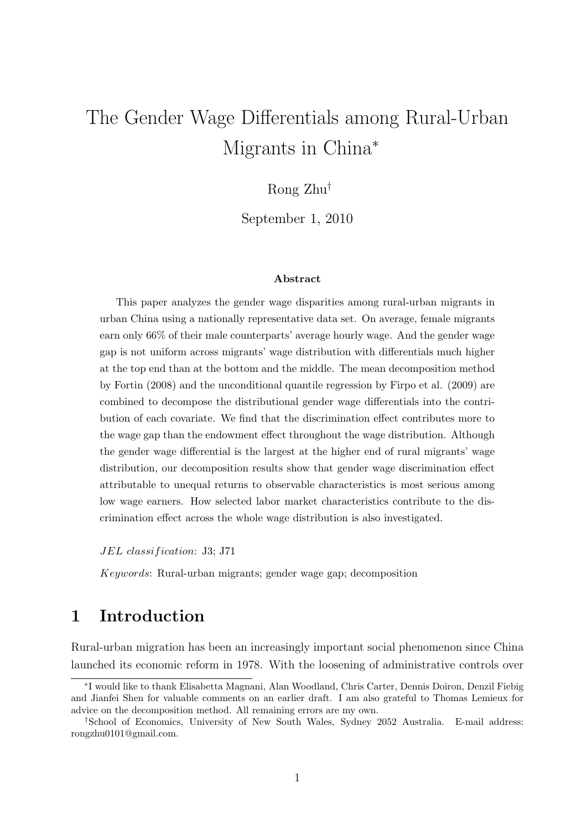# The Gender Wage Differentials among Rural-Urban Migrants in China<sup>\*</sup>

# Rong Zhu†

September 1, 2010

#### Abstract

This paper analyzes the gender wage disparities among rural-urban migrants in urban China using a nationally representative data set. On average, female migrants earn only 66% of their male counterparts' average hourly wage. And the gender wage gap is not uniform across migrants' wage distribution with differentials much higher at the top end than at the bottom and the middle. The mean decomposition method by Fortin (2008) and the unconditional quantile regression by Firpo et al. (2009) are combined to decompose the distributional gender wage differentials into the contribution of each covariate. We find that the discrimination effect contributes more to the wage gap than the endowment effect throughout the wage distribution. Although the gender wage differential is the largest at the higher end of rural migrants' wage distribution, our decomposition results show that gender wage discrimination effect attributable to unequal returns to observable characteristics is most serious among low wage earners. How selected labor market characteristics contribute to the discrimination effect across the whole wage distribution is also investigated.

JEL classification: J3; J71

Keywords: Rural-urban migrants; gender wage gap; decomposition

# 1 Introduction

Rural-urban migration has been an increasingly important social phenomenon since China launched its economic reform in 1978. With the loosening of administrative controls over

<sup>∗</sup> I would like to thank Elisabetta Magnani, Alan Woodland, Chris Carter, Dennis Doiron, Denzil Fiebig and Jianfei Shen for valuable comments on an earlier draft. I am also grateful to Thomas Lemieux for advice on the decomposition method. All remaining errors are my own.

<sup>†</sup>School of Economics, University of New South Wales, Sydney 2052 Australia. E-mail address: rongzhu0101@gmail.com.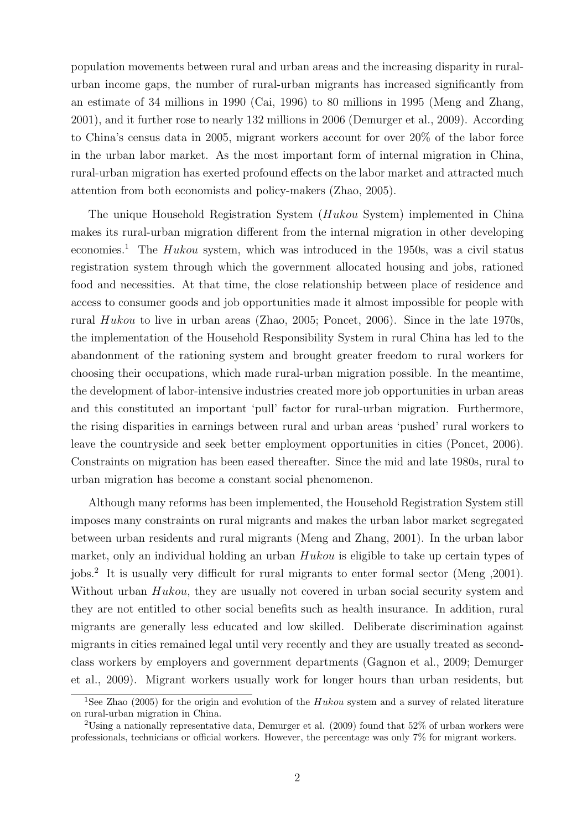population movements between rural and urban areas and the increasing disparity in ruralurban income gaps, the number of rural-urban migrants has increased significantly from an estimate of 34 millions in 1990 (Cai, 1996) to 80 millions in 1995 (Meng and Zhang, 2001), and it further rose to nearly 132 millions in 2006 (Demurger et al., 2009). According to China's census data in 2005, migrant workers account for over 20% of the labor force in the urban labor market. As the most important form of internal migration in China, rural-urban migration has exerted profound effects on the labor market and attracted much attention from both economists and policy-makers (Zhao, 2005).

The unique Household Registration System (Hukou System) implemented in China makes its rural-urban migration different from the internal migration in other developing economies.<sup>1</sup> The Hukou system, which was introduced in the 1950s, was a civil status registration system through which the government allocated housing and jobs, rationed food and necessities. At that time, the close relationship between place of residence and access to consumer goods and job opportunities made it almost impossible for people with rural Hukou to live in urban areas (Zhao, 2005; Poncet, 2006). Since in the late 1970s, the implementation of the Household Responsibility System in rural China has led to the abandonment of the rationing system and brought greater freedom to rural workers for choosing their occupations, which made rural-urban migration possible. In the meantime, the development of labor-intensive industries created more job opportunities in urban areas and this constituted an important 'pull' factor for rural-urban migration. Furthermore, the rising disparities in earnings between rural and urban areas 'pushed' rural workers to leave the countryside and seek better employment opportunities in cities (Poncet, 2006). Constraints on migration has been eased thereafter. Since the mid and late 1980s, rural to urban migration has become a constant social phenomenon.

Although many reforms has been implemented, the Household Registration System still imposes many constraints on rural migrants and makes the urban labor market segregated between urban residents and rural migrants (Meng and Zhang, 2001). In the urban labor market, only an individual holding an urban Hukou is eligible to take up certain types of jobs.<sup>2</sup> It is usually very difficult for rural migrants to enter formal sector (Meng ,2001). Without urban Hukou, they are usually not covered in urban social security system and they are not entitled to other social benefits such as health insurance. In addition, rural migrants are generally less educated and low skilled. Deliberate discrimination against migrants in cities remained legal until very recently and they are usually treated as secondclass workers by employers and government departments (Gagnon et al., 2009; Demurger et al., 2009). Migrant workers usually work for longer hours than urban residents, but

<sup>&</sup>lt;sup>1</sup>See Zhao (2005) for the origin and evolution of the  $Hukou$  system and a survey of related literature on rural-urban migration in China.

<sup>&</sup>lt;sup>2</sup>Using a nationally representative data, Demurger et al.  $(2009)$  found that 52% of urban workers were professionals, technicians or official workers. However, the percentage was only 7% for migrant workers.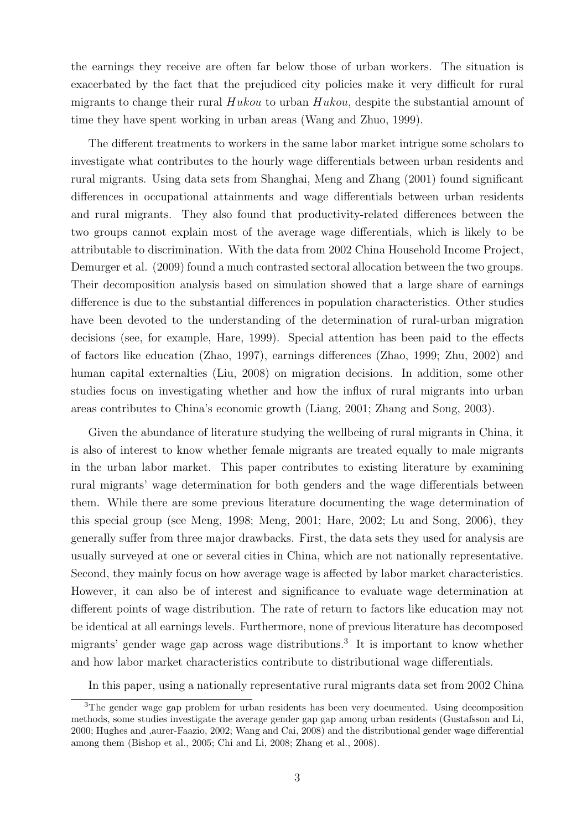the earnings they receive are often far below those of urban workers. The situation is exacerbated by the fact that the prejudiced city policies make it very difficult for rural migrants to change their rural  $Hukou$  to urban  $Hukou$ , despite the substantial amount of time they have spent working in urban areas (Wang and Zhuo, 1999).

The different treatments to workers in the same labor market intrigue some scholars to investigate what contributes to the hourly wage differentials between urban residents and rural migrants. Using data sets from Shanghai, Meng and Zhang (2001) found significant differences in occupational attainments and wage differentials between urban residents and rural migrants. They also found that productivity-related differences between the two groups cannot explain most of the average wage differentials, which is likely to be attributable to discrimination. With the data from 2002 China Household Income Project, Demurger et al. (2009) found a much contrasted sectoral allocation between the two groups. Their decomposition analysis based on simulation showed that a large share of earnings difference is due to the substantial differences in population characteristics. Other studies have been devoted to the understanding of the determination of rural-urban migration decisions (see, for example, Hare, 1999). Special attention has been paid to the effects of factors like education (Zhao, 1997), earnings differences (Zhao, 1999; Zhu, 2002) and human capital externalties (Liu, 2008) on migration decisions. In addition, some other studies focus on investigating whether and how the influx of rural migrants into urban areas contributes to China's economic growth (Liang, 2001; Zhang and Song, 2003).

Given the abundance of literature studying the wellbeing of rural migrants in China, it is also of interest to know whether female migrants are treated equally to male migrants in the urban labor market. This paper contributes to existing literature by examining rural migrants' wage determination for both genders and the wage differentials between them. While there are some previous literature documenting the wage determination of this special group (see Meng, 1998; Meng, 2001; Hare, 2002; Lu and Song, 2006), they generally suffer from three major drawbacks. First, the data sets they used for analysis are usually surveyed at one or several cities in China, which are not nationally representative. Second, they mainly focus on how average wage is affected by labor market characteristics. However, it can also be of interest and significance to evaluate wage determination at different points of wage distribution. The rate of return to factors like education may not be identical at all earnings levels. Furthermore, none of previous literature has decomposed migrants' gender wage gap across wage distributions.<sup>3</sup> It is important to know whether and how labor market characteristics contribute to distributional wage differentials.

In this paper, using a nationally representative rural migrants data set from 2002 China

<sup>&</sup>lt;sup>3</sup>The gender wage gap problem for urban residents has been very documented. Using decomposition methods, some studies investigate the average gender gap gap among urban residents (Gustafsson and Li, 2000; Hughes and ,aurer-Faazio, 2002; Wang and Cai, 2008) and the distributional gender wage differential among them (Bishop et al., 2005; Chi and Li, 2008; Zhang et al., 2008).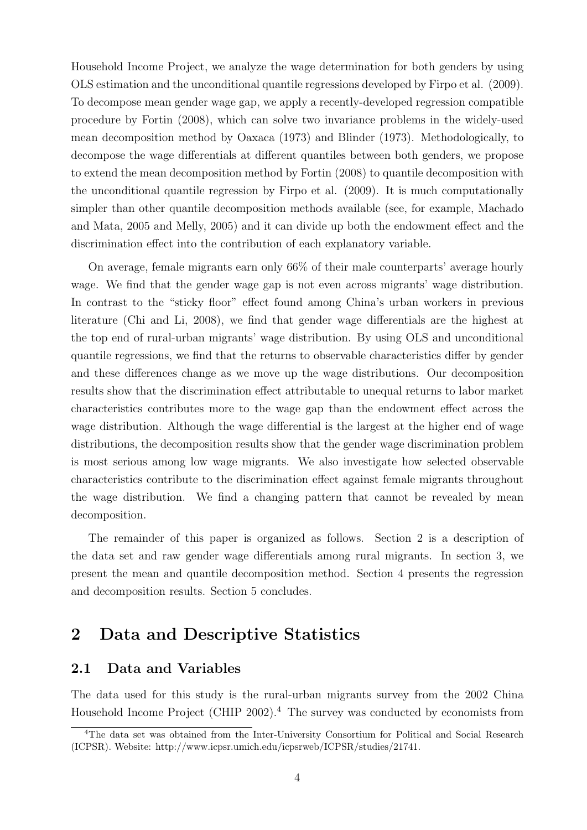Household Income Project, we analyze the wage determination for both genders by using OLS estimation and the unconditional quantile regressions developed by Firpo et al. (2009). To decompose mean gender wage gap, we apply a recently-developed regression compatible procedure by Fortin (2008), which can solve two invariance problems in the widely-used mean decomposition method by Oaxaca (1973) and Blinder (1973). Methodologically, to decompose the wage differentials at different quantiles between both genders, we propose to extend the mean decomposition method by Fortin (2008) to quantile decomposition with the unconditional quantile regression by Firpo et al. (2009). It is much computationally simpler than other quantile decomposition methods available (see, for example, Machado and Mata, 2005 and Melly, 2005) and it can divide up both the endowment effect and the discrimination effect into the contribution of each explanatory variable.

On average, female migrants earn only 66% of their male counterparts' average hourly wage. We find that the gender wage gap is not even across migrants' wage distribution. In contrast to the "sticky floor" effect found among China's urban workers in previous literature (Chi and Li, 2008), we find that gender wage differentials are the highest at the top end of rural-urban migrants' wage distribution. By using OLS and unconditional quantile regressions, we find that the returns to observable characteristics differ by gender and these differences change as we move up the wage distributions. Our decomposition results show that the discrimination effect attributable to unequal returns to labor market characteristics contributes more to the wage gap than the endowment effect across the wage distribution. Although the wage differential is the largest at the higher end of wage distributions, the decomposition results show that the gender wage discrimination problem is most serious among low wage migrants. We also investigate how selected observable characteristics contribute to the discrimination effect against female migrants throughout the wage distribution. We find a changing pattern that cannot be revealed by mean decomposition.

The remainder of this paper is organized as follows. Section 2 is a description of the data set and raw gender wage differentials among rural migrants. In section 3, we present the mean and quantile decomposition method. Section 4 presents the regression and decomposition results. Section 5 concludes.

# 2 Data and Descriptive Statistics

### 2.1 Data and Variables

The data used for this study is the rural-urban migrants survey from the 2002 China Household Income Project (CHIP  $2002$ ).<sup>4</sup> The survey was conducted by economists from

<sup>&</sup>lt;sup>4</sup>The data set was obtained from the Inter-University Consortium for Political and Social Research (ICPSR). Website: http://www.icpsr.umich.edu/icpsrweb/ICPSR/studies/21741.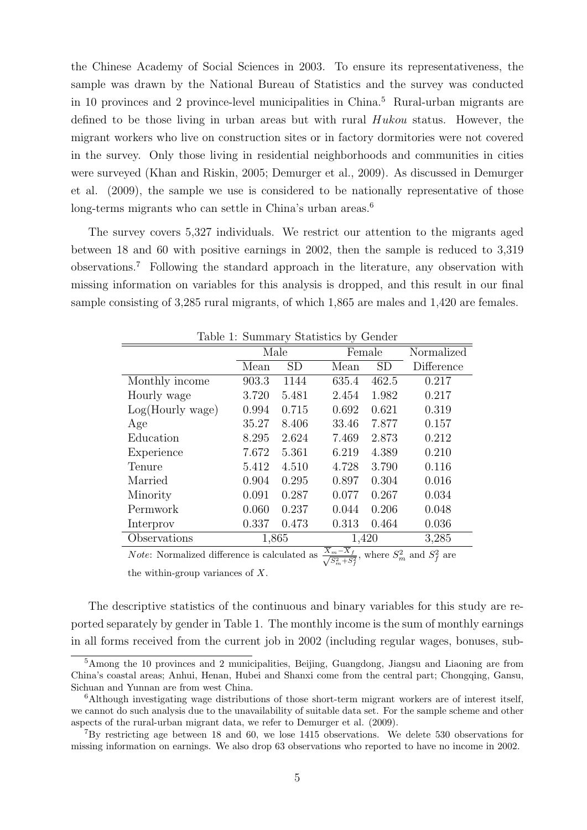the Chinese Academy of Social Sciences in 2003. To ensure its representativeness, the sample was drawn by the National Bureau of Statistics and the survey was conducted in 10 provinces and 2 province-level municipalities in China.<sup>5</sup> Rural-urban migrants are defined to be those living in urban areas but with rural  $Hukou$  status. However, the migrant workers who live on construction sites or in factory dormitories were not covered in the survey. Only those living in residential neighborhoods and communities in cities were surveyed (Khan and Riskin, 2005; Demurger et al., 2009). As discussed in Demurger et al. (2009), the sample we use is considered to be nationally representative of those long-terms migrants who can settle in China's urban areas.<sup>6</sup>

The survey covers 5,327 individuals. We restrict our attention to the migrants aged between 18 and 60 with positive earnings in 2002, then the sample is reduced to 3,319 observations.<sup>7</sup> Following the standard approach in the literature, any observation with missing information on variables for this analysis is dropped, and this result in our final sample consisting of 3,285 rural migrants, of which 1,865 are males and 1,420 are females.

| Lable 1. Dummary Diamonts by Octivity |       |           |                                                    |       |            |  |  |  |
|---------------------------------------|-------|-----------|----------------------------------------------------|-------|------------|--|--|--|
|                                       | Male  |           | Female                                             |       | Normalized |  |  |  |
|                                       | Mean  | <b>SD</b> | Mean                                               | SD    | Difference |  |  |  |
| Monthly income                        | 903.3 | 1144      | 635.4                                              | 462.5 | 0.217      |  |  |  |
| Hourly wage                           | 3.720 | 5.481     | 2.454                                              | 1.982 | 0.217      |  |  |  |
| Log(Hourly wage)                      | 0.994 | 0.715     | 0.692                                              | 0.621 | 0.319      |  |  |  |
| Age                                   | 35.27 | 8.406     | 33.46                                              | 7.877 | 0.157      |  |  |  |
| Education                             | 8.295 | 2.624     | 7.469                                              | 2.873 | 0.212      |  |  |  |
| Experience                            | 7.672 | 5.361     | 6.219                                              | 4.389 | 0.210      |  |  |  |
| Tenure                                | 5.412 | 4.510     | 4.728                                              | 3.790 | 0.116      |  |  |  |
| Married                               | 0.904 | 0.295     | 0.897                                              | 0.304 | 0.016      |  |  |  |
| Minority                              | 0.091 | 0.287     | 0.077                                              | 0.267 | 0.034      |  |  |  |
| Permwork                              | 0.060 | 0.237     | 0.044                                              | 0.206 | 0.048      |  |  |  |
| Interprov                             | 0.337 | 0.473     | 0.313                                              | 0.464 | 0.036      |  |  |  |
| Observations                          | 1,865 |           | 1,420                                              |       | 3,285      |  |  |  |
|                                       |       |           | $\overline{\mathbf{v}}$<br>$\overline{\mathbf{v}}$ |       |            |  |  |  |

Table 1: Summary Statistics by Gender

*Note*: Normalized difference is calculated as  $\frac{\overline{X_m-X_f}}{\sqrt{C_m^2+C_f}}$  $\frac{m-X_f}{S_m^2+S_f^2}$ , where  $S_m^2$  and  $S_f^2$  are

the within-group variances of  $X$ .

The descriptive statistics of the continuous and binary variables for this study are reported separately by gender in Table 1. The monthly income is the sum of monthly earnings in all forms received from the current job in 2002 (including regular wages, bonuses, sub-

<sup>5</sup>Among the 10 provinces and 2 municipalities, Beijing, Guangdong, Jiangsu and Liaoning are from China's coastal areas; Anhui, Henan, Hubei and Shanxi come from the central part; Chongqing, Gansu, Sichuan and Yunnan are from west China.

<sup>6</sup>Although investigating wage distributions of those short-term migrant workers are of interest itself, we cannot do such analysis due to the unavailability of suitable data set. For the sample scheme and other aspects of the rural-urban migrant data, we refer to Demurger et al. (2009).

<sup>7</sup>By restricting age between 18 and 60, we lose 1415 observations. We delete 530 observations for missing information on earnings. We also drop 63 observations who reported to have no income in 2002.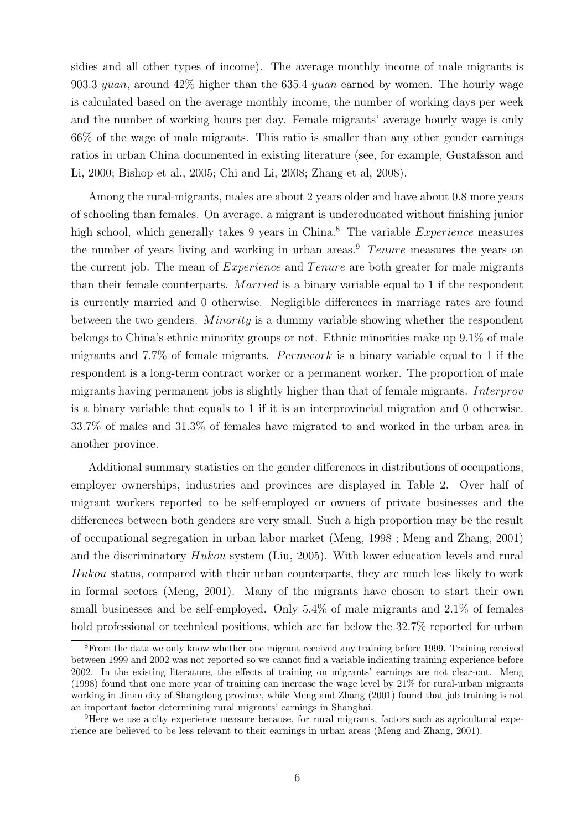sidies and all other types of income). The average monthly income of male migrants is 903.3 yuan, around  $42\%$  higher than the 635.4 yuan earned by women. The hourly wage is calculated based on the average monthly income, the number of working days per week and the number of working hours per day. Female migrants' average hourly wage is only 66% of the wage of male migrants. This ratio is smaller than any other gender earnings ratios in urban China documented in existing literature (see, for example, Gustafsson and Li, 2000; Bishop et al., 2005; Chi and Li, 2008; Zhang et al, 2008).

Among the rural-migrants, males are about 2 years older and have about 0.8 more years of schooling than females. On average, a migrant is undereducated without finishing junior high school, which generally takes 9 years in China.<sup>8</sup> The variable *Experience* measures the number of years living and working in urban areas.<sup>9</sup> Tenure measures the years on the current job. The mean of  $Experience$  and  $T$  enure are both greater for male migrants than their female counterparts. Married is a binary variable equal to 1 if the respondent is currently married and 0 otherwise. Negligible differences in marriage rates are found between the two genders. *Minority* is a dummy variable showing whether the respondent belongs to China's ethnic minority groups or not. Ethnic minorities make up 9.1% of male migrants and 7.7% of female migrants. Permwork is a binary variable equal to 1 if the respondent is a long-term contract worker or a permanent worker. The proportion of male migrants having permanent jobs is slightly higher than that of female migrants. Interprov is a binary variable that equals to 1 if it is an interprovincial migration and 0 otherwise. 33.7% of males and 31.3% of females have migrated to and worked in the urban area in another province.

Additional summary statistics on the gender differences in distributions of occupations, employer ownerships, industries and provinces are displayed in Table 2. Over half of migrant workers reported to be self-employed or owners of private businesses and the differences between both genders are very small. Such a high proportion may be the result of occupational segregation in urban labor market (Meng, 1998 ; Meng and Zhang, 2001) and the discriminatory Hukou system (Liu, 2005). With lower education levels and rural Hukou status, compared with their urban counterparts, they are much less likely to work in formal sectors (Meng, 2001). Many of the migrants have chosen to start their own small businesses and be self-employed. Only 5.4% of male migrants and 2.1% of females hold professional or technical positions, which are far below the  $32.7\%$  reported for urban

<sup>8</sup>From the data we only know whether one migrant received any training before 1999. Training received between 1999 and 2002 was not reported so we cannot find a variable indicating training experience before 2002. In the existing literature, the effects of training on migrants' earnings are not clear-cut. Meng (1998) found that one more year of training can increase the wage level by 21% for rural-urban migrants working in Jinan city of Shangdong province, while Meng and Zhang (2001) found that job training is not an important factor determining rural migrants' earnings in Shanghai.

<sup>9</sup>Here we use a city experience measure because, for rural migrants, factors such as agricultural experience are believed to be less relevant to their earnings in urban areas (Meng and Zhang, 2001).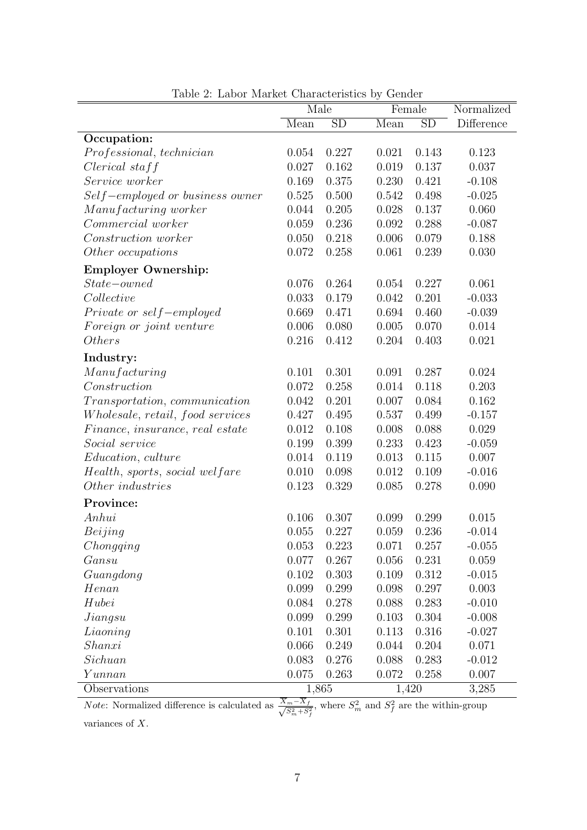|                                  | Male  |                        | Female |                        | Normalized |
|----------------------------------|-------|------------------------|--------|------------------------|------------|
|                                  | Mean  | $\overline{\text{SD}}$ | Mean   | $\overline{\text{SD}}$ | Difference |
| Occupation:                      |       |                        |        |                        |            |
| Professional, technician         | 0.054 | 0.227                  | 0.021  | 0.143                  | 0.123      |
| $Clerical$ staff                 | 0.027 | 0.162                  | 0.019  | 0.137                  | 0.037      |
| Service worker                   | 0.169 | 0.375                  | 0.230  | 0.421                  | $-0.108$   |
| Self-employed or business owner  | 0.525 | 0.500                  | 0.542  | 0.498                  | $-0.025$   |
| Manufacturing worker             | 0.044 | 0.205                  | 0.028  | 0.137                  | 0.060      |
| Commercial worker                | 0.059 | 0.236                  | 0.092  | 0.288                  | $-0.087$   |
| Construction worker              | 0.050 | 0.218                  | 0.006  | 0.079                  | 0.188      |
| Other occupations                | 0.072 | 0.258                  | 0.061  | 0.239                  | 0.030      |
| <b>Employer Ownership:</b>       |       |                        |        |                        |            |
| $State-owned$                    | 0.076 | 0.264                  | 0.054  | 0.227                  | 0.061      |
| Collective                       | 0.033 | 0.179                  | 0.042  | 0.201                  | $-0.033$   |
| Private or self-employed         | 0.669 | 0.471                  | 0.694  | 0.460                  | $-0.039$   |
| Foreign or joint venture         | 0.006 | 0.080                  | 0.005  | 0.070                  | 0.014      |
| <i>Others</i>                    | 0.216 | 0.412                  | 0.204  | 0.403                  | 0.021      |
| Industry:                        |       |                        |        |                        |            |
| Manufacturing                    | 0.101 | 0.301                  | 0.091  | 0.287                  | 0.024      |
| Construction                     | 0.072 | 0.258                  | 0.014  | 0.118                  | 0.203      |
| Transportation, communication    | 0.042 | 0.201                  | 0.007  | 0.084                  | 0.162      |
| Wholesale, retail, food services | 0.427 | 0.495                  | 0.537  | 0.499                  | $-0.157$   |
| Finance, insurance, real estate  | 0.012 | 0.108                  | 0.008  | 0.088                  | 0.029      |
| Social service                   | 0.199 | 0.399                  | 0.233  | 0.423                  | $-0.059$   |
| <i>Education, culture</i>        | 0.014 | 0.119                  | 0.013  | 0.115                  | 0.007      |
| Health, sports, social welfare   | 0.010 | 0.098                  | 0.012  | 0.109                  | $-0.016$   |
| Other industries                 | 0.123 | 0.329                  | 0.085  | 0.278                  | 0.090      |
| Province:                        |       |                        |        |                        |            |
| Anhui                            | 0.106 | 0.307                  | 0.099  | 0.299                  | 0.015      |
| Beijing                          | 0.055 | 0.227                  | 0.059  | 0.236                  | $-0.014$   |
| Chongging                        | 0.053 | 0.223                  | 0.071  | 0.257                  | $-0.055$   |
| Gansu                            | 0.077 | 0.267                  | 0.056  | 0.231                  | 0.059      |
| Guangdong                        | 0.102 | 0.303                  | 0.109  | 0.312                  | $-0.015$   |
| Henan                            | 0.099 | 0.299                  | 0.098  | 0.297                  | 0.003      |
| Hubei                            | 0.084 | 0.278                  | 0.088  | 0.283                  | $-0.010$   |
| Jiangsu                          | 0.099 | 0.299                  | 0.103  | 0.304                  | $-0.008$   |
| Liaoning                         | 0.101 | 0.301                  | 0.113  | 0.316                  | $-0.027$   |
| Shanxi                           | 0.066 | 0.249                  | 0.044  | 0.204                  | 0.071      |
| Sichuan                          | 0.083 | 0.276                  | 0.088  | 0.283                  | $-0.012$   |
| Yunnan                           | 0.075 | 0.263                  | 0.072  | 0.258                  | 0.007      |
| Observations                     | 1,865 |                        | 1,420  |                        | 3,285      |

Table 2: Labor Market Characteristics by Gender

*Note*: Normalized difference is calculated as  $\frac{X_m-X_f}{\sqrt{C^2+C^2}}$  $\frac{m-X_f}{S_m^2+S_f^2}$ , where  $S_m^2$  and  $S_f^2$  are the within-group

variances of X.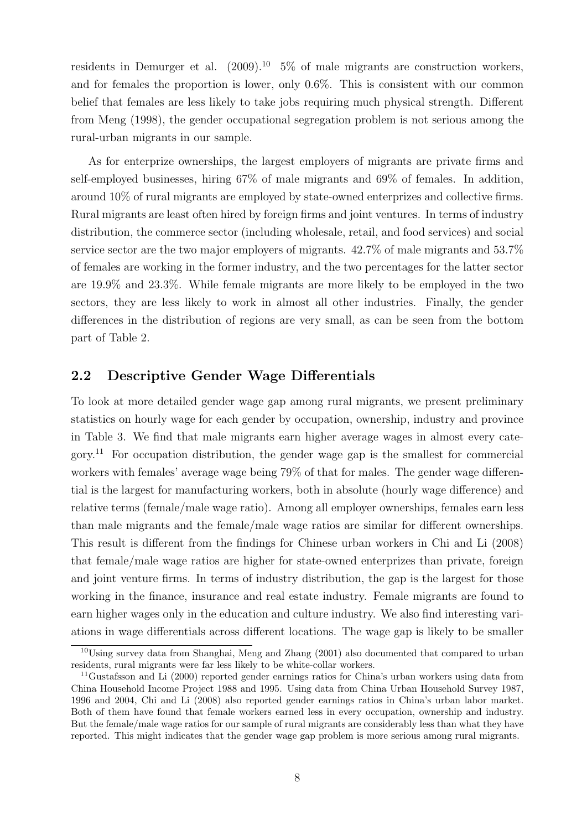residents in Demurger et al.  $(2009)^{10}$  5% of male migrants are construction workers, and for females the proportion is lower, only 0.6%. This is consistent with our common belief that females are less likely to take jobs requiring much physical strength. Different from Meng (1998), the gender occupational segregation problem is not serious among the rural-urban migrants in our sample.

As for enterprize ownerships, the largest employers of migrants are private firms and self-employed businesses, hiring 67% of male migrants and 69% of females. In addition, around 10% of rural migrants are employed by state-owned enterprizes and collective firms. Rural migrants are least often hired by foreign firms and joint ventures. In terms of industry distribution, the commerce sector (including wholesale, retail, and food services) and social service sector are the two major employers of migrants. 42.7% of male migrants and 53.7% of females are working in the former industry, and the two percentages for the latter sector are 19.9% and 23.3%. While female migrants are more likely to be employed in the two sectors, they are less likely to work in almost all other industries. Finally, the gender differences in the distribution of regions are very small, as can be seen from the bottom part of Table 2.

### 2.2 Descriptive Gender Wage Differentials

To look at more detailed gender wage gap among rural migrants, we present preliminary statistics on hourly wage for each gender by occupation, ownership, industry and province in Table 3. We find that male migrants earn higher average wages in almost every category.<sup>11</sup> For occupation distribution, the gender wage gap is the smallest for commercial workers with females' average wage being 79% of that for males. The gender wage differential is the largest for manufacturing workers, both in absolute (hourly wage difference) and relative terms (female/male wage ratio). Among all employer ownerships, females earn less than male migrants and the female/male wage ratios are similar for different ownerships. This result is different from the findings for Chinese urban workers in Chi and Li (2008) that female/male wage ratios are higher for state-owned enterprizes than private, foreign and joint venture firms. In terms of industry distribution, the gap is the largest for those working in the finance, insurance and real estate industry. Female migrants are found to earn higher wages only in the education and culture industry. We also find interesting variations in wage differentials across different locations. The wage gap is likely to be smaller

<sup>10</sup>Using survey data from Shanghai, Meng and Zhang (2001) also documented that compared to urban residents, rural migrants were far less likely to be white-collar workers.

<sup>11</sup>Gustafsson and Li (2000) reported gender earnings ratios for China's urban workers using data from China Household Income Project 1988 and 1995. Using data from China Urban Household Survey 1987, 1996 and 2004, Chi and Li (2008) also reported gender earnings ratios in China's urban labor market. Both of them have found that female workers earned less in every occupation, ownership and industry. But the female/male wage ratios for our sample of rural migrants are considerably less than what they have reported. This might indicates that the gender wage gap problem is more serious among rural migrants.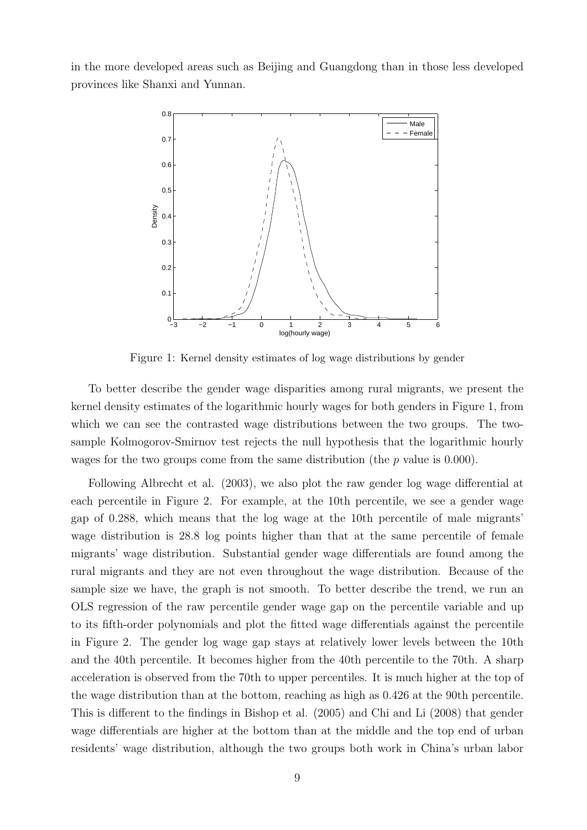in the more developed areas such as Beijing and Guangdong than in those less developed provinces like Shanxi and Yunnan.



Figure 1: Kernel density estimates of log wage distributions by gender

To better describe the gender wage disparities among rural migrants, we present the kernel density estimates of the logarithmic hourly wages for both genders in Figure 1, from which we can see the contrasted wage distributions between the two groups. The twosample Kolmogorov-Smirnov test rejects the null hypothesis that the logarithmic hourly wages for the two groups come from the same distribution (the  $p$  value is 0.000).

Following Albrecht et al. (2003), we also plot the raw gender log wage differential at each percentile in Figure 2. For example, at the 10th percentile, we see a gender wage gap of 0.288, which means that the log wage at the 10th percentile of male migrants' wage distribution is 28.8 log points higher than that at the same percentile of female migrants' wage distribution. Substantial gender wage differentials are found among the rural migrants and they are not even throughout the wage distribution. Because of the sample size we have, the graph is not smooth. To better describe the trend, we run an OLS regression of the raw percentile gender wage gap on the percentile variable and up to its fifth-order polynomials and plot the fitted wage differentials against the percentile in Figure 2. The gender log wage gap stays at relatively lower levels between the 10th and the 40th percentile. It becomes higher from the 40th percentile to the 70th. A sharp acceleration is observed from the 70th to upper percentiles. It is much higher at the top of the wage distribution than at the bottom, reaching as high as 0.426 at the 90th percentile. This is different to the findings in Bishop et al. (2005) and Chi and Li (2008) that gender wage differentials are higher at the bottom than at the middle and the top end of urban residents' wage distribution, although the two groups both work in China's urban labor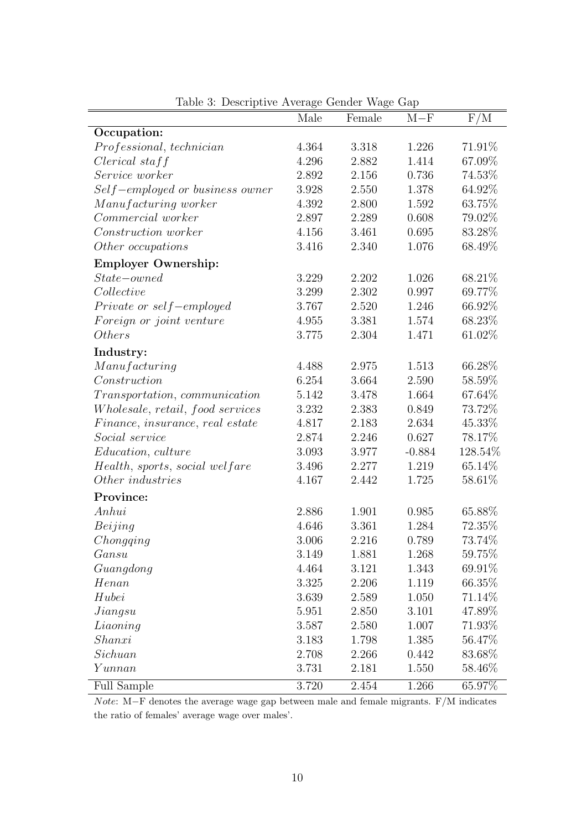|                                         | Male  | Female | $M-F$    | F/M       |
|-----------------------------------------|-------|--------|----------|-----------|
| Occupation:                             |       |        |          |           |
| Professional, technician                | 4.364 | 3.318  | 1.226    | 71.91%    |
| $Clerical$ staff                        | 4.296 | 2.882  | 1.414    | 67.09%    |
| Service worker                          | 2.892 | 2.156  | 0.736    | 74.53%    |
| Self-employed or business owner         | 3.928 | 2.550  | 1.378    | 64.92%    |
| Manufacturing worker                    | 4.392 | 2.800  | 1.592    | 63.75%    |
| Commercial worker                       | 2.897 | 2.289  | 0.608    | 79.02\%   |
| Construction worker                     | 4.156 | 3.461  | 0.695    | 83.28\%   |
| Other occupations                       | 3.416 | 2.340  | 1.076    | 68.49%    |
| <b>Employer Ownership:</b>              |       |        |          |           |
| $State-owned$                           | 3.229 | 2.202  | 1.026    | 68.21\%   |
| Collective                              | 3.299 | 2.302  | 0.997    | 69.77%    |
| Private or self-employed                | 3.767 | 2.520  | 1.246    | 66.92%    |
| Foreign or joint venture                | 4.955 | 3.381  | 1.574    | 68.23%    |
| <i>Others</i>                           | 3.775 | 2.304  | 1.471    | 61.02%    |
| Industry:                               |       |        |          |           |
| Manufacturing                           | 4.488 | 2.975  | 1.513    | 66.28\%   |
| Construction                            | 6.254 | 3.664  | 2.590    | 58.59%    |
| <i>Transportation, communication</i>    | 5.142 | 3.478  | 1.664    | 67.64%    |
| <i>Wholesale, retail, food services</i> | 3.232 | 2.383  | 0.849    | 73.72%    |
| Finance, insurance, real estate         | 4.817 | 2.183  | 2.634    | 45.33%    |
| <i>Social service</i>                   | 2.874 | 2.246  | 0.627    | 78.17%    |
| <i>Education, culture</i>               | 3.093 | 3.977  | $-0.884$ | 128.54%   |
| Health, sports, social welfare          | 3.496 | 2.277  | 1.219    | 65.14\%   |
| Other industries                        | 4.167 | 2.442  | 1.725    | 58.61\%   |
| Province:                               |       |        |          |           |
| Anhui                                   | 2.886 | 1.901  | 0.985    | 65.88%    |
| Beijing                                 | 4.646 | 3.361  | 1.284    | 72.35%    |
| Chongging                               | 3.006 | 2.216  | 0.789    | 73.74%    |
| Gansu                                   | 3.149 | 1.881  | 1.268    | $59.75\%$ |
| Guangdong                               | 4.464 | 3.121  | 1.343    | 69.91\%   |
| Hean                                    | 3.325 | 2.206  | 1.119    | 66.35%    |
| Hubei                                   | 3.639 | 2.589  | 1.050    | $71.14\%$ |
| Jiangsu                                 | 5.951 | 2.850  | 3.101    | 47.89%    |
| Liaoning                                | 3.587 | 2.580  | 1.007    | 71.93%    |
| Shanxi                                  | 3.183 | 1.798  | 1.385    | 56.47\%   |
| Sichuan                                 | 2.708 | 2.266  | 0.442    | 83.68\%   |
| Yunnan                                  | 3.731 | 2.181  | 1.550    | 58.46\%   |
| Full Sample                             | 3.720 | 2.454  | 1.266    | 65.97%    |

Table 3: Descriptive Average Gender Wage Gap

Note: M−F denotes the average wage gap between male and female migrants. F/M indicates the ratio of females' average wage over males'.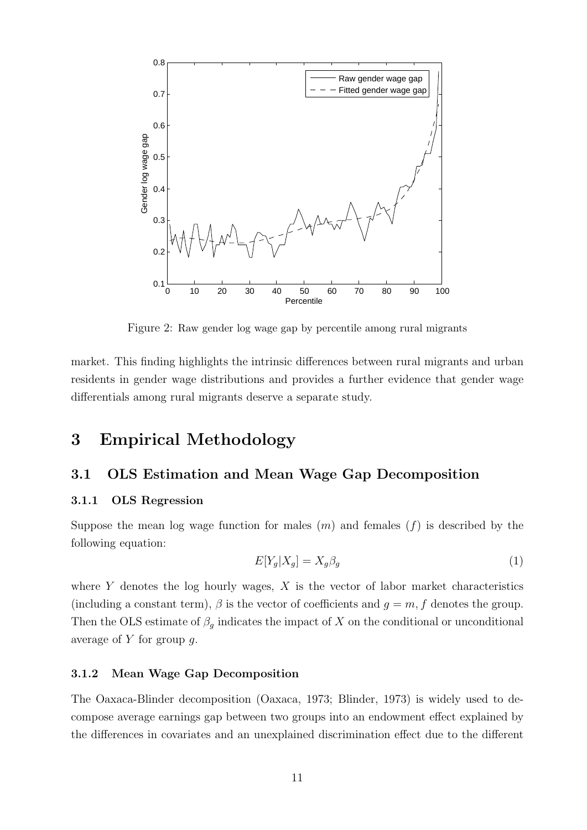

Figure 2: Raw gender log wage gap by percentile among rural migrants

market. This finding highlights the intrinsic differences between rural migrants and urban residents in gender wage distributions and provides a further evidence that gender wage differentials among rural migrants deserve a separate study.

# 3 Empirical Methodology

### 3.1 OLS Estimation and Mean Wage Gap Decomposition

### 3.1.1 OLS Regression

Suppose the mean log wage function for males  $(m)$  and females  $(f)$  is described by the following equation:

$$
E[Y_g|X_g] = X_g \beta_g \tag{1}
$$

where  $Y$  denotes the log hourly wages,  $X$  is the vector of labor market characteristics (including a constant term),  $\beta$  is the vector of coefficients and  $g = m, f$  denotes the group. Then the OLS estimate of  $\beta_g$  indicates the impact of X on the conditional or unconditional average of  $Y$  for group  $g$ .

### 3.1.2 Mean Wage Gap Decomposition

The Oaxaca-Blinder decomposition (Oaxaca, 1973; Blinder, 1973) is widely used to decompose average earnings gap between two groups into an endowment effect explained by the differences in covariates and an unexplained discrimination effect due to the different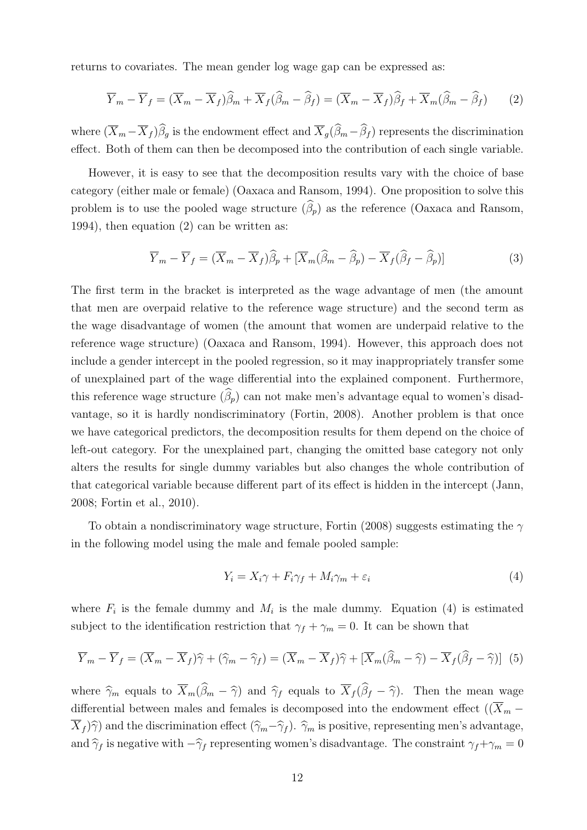returns to covariates. The mean gender log wage gap can be expressed as:

$$
\overline{Y}_m - \overline{Y}_f = (\overline{X}_m - \overline{X}_f)\widehat{\beta}_m + \overline{X}_f(\widehat{\beta}_m - \widehat{\beta}_f) = (\overline{X}_m - \overline{X}_f)\widehat{\beta}_f + \overline{X}_m(\widehat{\beta}_m - \widehat{\beta}_f)
$$
(2)

where  $(\overline{X}_m - \overline{X}_f)\widehat{\beta}_g$  is the endowment effect and  $\overline{X}_g(\widehat{\beta}_m - \widehat{\beta}_f)$  represents the discrimination effect. Both of them can then be decomposed into the contribution of each single variable.

However, it is easy to see that the decomposition results vary with the choice of base category (either male or female) (Oaxaca and Ransom, 1994). One proposition to solve this problem is to use the pooled wage structure  $(\widehat{\beta}_p)$  as the reference (Oaxaca and Ransom, 1994), then equation (2) can be written as:

$$
\overline{Y}_m - \overline{Y}_f = (\overline{X}_m - \overline{X}_f)\widehat{\beta}_p + [\overline{X}_m(\widehat{\beta}_m - \widehat{\beta}_p) - \overline{X}_f(\widehat{\beta}_f - \widehat{\beta}_p)]
$$
\n(3)

The first term in the bracket is interpreted as the wage advantage of men (the amount that men are overpaid relative to the reference wage structure) and the second term as the wage disadvantage of women (the amount that women are underpaid relative to the reference wage structure) (Oaxaca and Ransom, 1994). However, this approach does not include a gender intercept in the pooled regression, so it may inappropriately transfer some of unexplained part of the wage differential into the explained component. Furthermore, this reference wage structure  $(\widehat{\beta}_p)$  can not make men's advantage equal to women's disadvantage, so it is hardly nondiscriminatory (Fortin, 2008). Another problem is that once we have categorical predictors, the decomposition results for them depend on the choice of left-out category. For the unexplained part, changing the omitted base category not only alters the results for single dummy variables but also changes the whole contribution of that categorical variable because different part of its effect is hidden in the intercept (Jann, 2008; Fortin et al., 2010).

To obtain a nondiscriminatory wage structure, Fortin (2008) suggests estimating the  $\gamma$ in the following model using the male and female pooled sample:

$$
Y_i = X_i \gamma + F_i \gamma_f + M_i \gamma_m + \varepsilon_i \tag{4}
$$

where  $F_i$  is the female dummy and  $M_i$  is the male dummy. Equation (4) is estimated subject to the identification restriction that  $\gamma_f + \gamma_m = 0$ . It can be shown that

$$
\overline{Y}_m - \overline{Y}_f = (\overline{X}_m - \overline{X}_f)\widehat{\gamma} + (\widehat{\gamma}_m - \widehat{\gamma}_f) = (\overline{X}_m - \overline{X}_f)\widehat{\gamma} + [\overline{X}_m(\widehat{\beta}_m - \widehat{\gamma}) - \overline{X}_f(\widehat{\beta}_f - \widehat{\gamma})]
$$
(5)

where  $\hat{\gamma}_m$  equals to  $\overline{X}_m(\hat{\beta}_m - \hat{\gamma})$  and  $\hat{\gamma}_f$  equals to  $\overline{X}_f(\hat{\beta}_f - \hat{\gamma})$ . Then the mean wage differential between males and females is decomposed into the endowment effect ( $(\overline{X}_m \overline{X}_f$ ) $\hat{\gamma}$ ) and the discrimination effect  $(\hat{\gamma}_m-\hat{\gamma}_f)$ .  $\hat{\gamma}_m$  is positive, representing men's advantage, and  $\hat{\gamma}_f$  is negative with  $-\hat{\gamma}_f$  representing women's disadvantage. The constraint  $\gamma_f+\gamma_m = 0$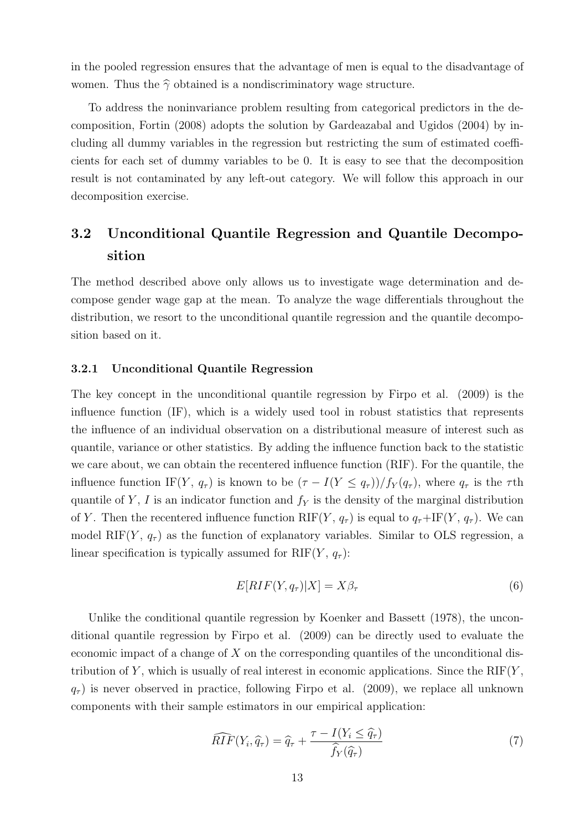in the pooled regression ensures that the advantage of men is equal to the disadvantage of women. Thus the  $\hat{\gamma}$  obtained is a nondiscriminatory wage structure.

To address the noninvariance problem resulting from categorical predictors in the decomposition, Fortin (2008) adopts the solution by Gardeazabal and Ugidos (2004) by including all dummy variables in the regression but restricting the sum of estimated coefficients for each set of dummy variables to be 0. It is easy to see that the decomposition result is not contaminated by any left-out category. We will follow this approach in our decomposition exercise.

# 3.2 Unconditional Quantile Regression and Quantile Decomposition

The method described above only allows us to investigate wage determination and decompose gender wage gap at the mean. To analyze the wage differentials throughout the distribution, we resort to the unconditional quantile regression and the quantile decomposition based on it.

### 3.2.1 Unconditional Quantile Regression

The key concept in the unconditional quantile regression by Firpo et al. (2009) is the influence function (IF), which is a widely used tool in robust statistics that represents the influence of an individual observation on a distributional measure of interest such as quantile, variance or other statistics. By adding the influence function back to the statistic we care about, we can obtain the recentered influence function (RIF). For the quantile, the influence function IF(Y,  $q_{\tau}$ ) is known to be  $(\tau - I(Y \leq q_{\tau}))/f_Y(q_{\tau})$ , where  $q_{\tau}$  is the  $\tau$ th quantile of Y, I is an indicator function and  $f<sub>Y</sub>$  is the density of the marginal distribution of Y. Then the recentered influence function RIF(Y,  $q_{\tau}$ ) is equal to  $q_{\tau} + I F(Y, q_{\tau})$ . We can model RIF(Y,  $q_{\tau}$ ) as the function of explanatory variables. Similar to OLS regression, a linear specification is typically assumed for  $RIF(Y, q<sub>\tau</sub>)$ :

$$
E[RIF(Y, q_{\tau})|X] = X\beta_{\tau}
$$
\n(6)

Unlike the conditional quantile regression by Koenker and Bassett (1978), the unconditional quantile regression by Firpo et al. (2009) can be directly used to evaluate the economic impact of a change of  $X$  on the corresponding quantiles of the unconditional distribution of Y, which is usually of real interest in economic applications. Since the  $RIF(Y,$  $q_{\tau}$ ) is never observed in practice, following Firpo et al. (2009), we replace all unknown components with their sample estimators in our empirical application:

$$
\widehat{RIF}(Y_i, \widehat{q}_{\tau}) = \widehat{q}_{\tau} + \frac{\tau - I(Y_i \leq \widehat{q}_{\tau})}{\widehat{f}_Y(\widehat{q}_{\tau})}
$$
(7)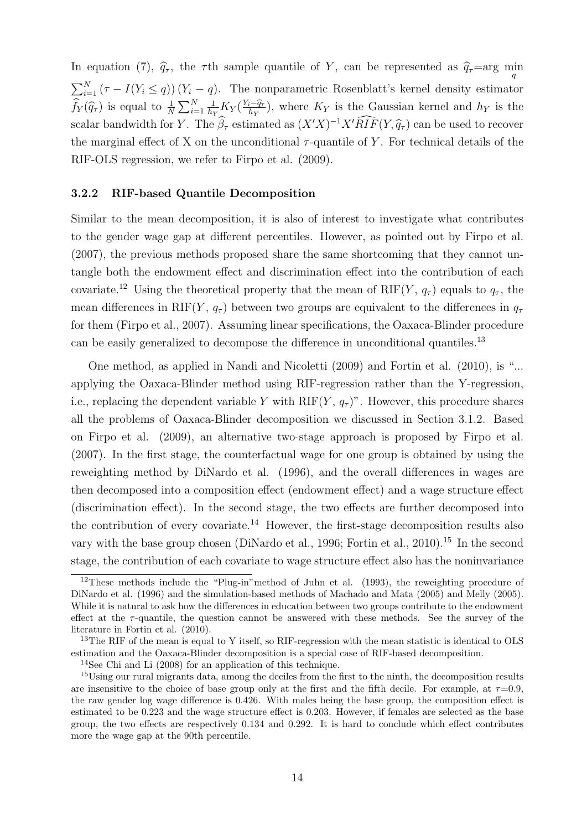In equation (7),  $\hat{q}_{\tau}$ , the  $\tau$ th sample quantile of Y, can be represented as  $\hat{q}_{\tau}$ =arg min  $\sum_{i=1}^{N} (\tau - I(Y_i \leq q)) (Y_i - q)$ . The nonparametric Rosenblatt's kernel density estimator  $\widehat{f}_Y(\widehat{q}_\tau)$  is equal to  $\frac{1}{N}\sum_{i=1}^N$ 1  $\frac{1}{h_Y} K_Y(\frac{Y_i-\hat{q}_\tau}{h_Y}),$  where  $K_Y$  is the Gaussian kernel and  $h_Y$  is the scalar bandwidth for Y. The  $\hat{\beta}_{\tau}$  estimated as  $(X'X)^{-1}X'RIF(Y, \hat{q}_{\tau})$  can be used to recover the marginal effect of X on the unconditional  $\tau$ -quantile of Y. For technical details of the RIF-OLS regression, we refer to Firpo et al. (2009).

#### 3.2.2 RIF-based Quantile Decomposition

Similar to the mean decomposition, it is also of interest to investigate what contributes to the gender wage gap at different percentiles. However, as pointed out by Firpo et al. (2007), the previous methods proposed share the same shortcoming that they cannot untangle both the endowment effect and discrimination effect into the contribution of each covariate.<sup>12</sup> Using the theoretical property that the mean of RIF(Y,  $q_{\tau}$ ) equals to  $q_{\tau}$ , the mean differences in RIF(Y,  $q_{\tau}$ ) between two groups are equivalent to the differences in  $q_{\tau}$ for them (Firpo et al., 2007). Assuming linear specifications, the Oaxaca-Blinder procedure can be easily generalized to decompose the difference in unconditional quantiles.<sup>13</sup>

One method, as applied in Nandi and Nicoletti (2009) and Fortin et al. (2010), is "... applying the Oaxaca-Blinder method using RIF-regression rather than the Y-regression, i.e., replacing the dependent variable Y with  $RIF(Y, q<sub>\tau</sub>)$ ". However, this procedure shares all the problems of Oaxaca-Blinder decomposition we discussed in Section 3.1.2. Based on Firpo et al. (2009), an alternative two-stage approach is proposed by Firpo et al. (2007). In the first stage, the counterfactual wage for one group is obtained by using the reweighting method by DiNardo et al. (1996), and the overall differences in wages are then decomposed into a composition effect (endowment effect) and a wage structure effect (discrimination effect). In the second stage, the two effects are further decomposed into the contribution of every covariate.<sup>14</sup> However, the first-stage decomposition results also vary with the base group chosen (DiNardo et al., 1996; Fortin et al., 2010).<sup>15</sup> In the second stage, the contribution of each covariate to wage structure effect also has the noninvariance

 $12$ These methods include the "Plug-in" method of Juhn et al. (1993), the reweighting procedure of DiNardo et al. (1996) and the simulation-based methods of Machado and Mata (2005) and Melly (2005). While it is natural to ask how the differences in education between two groups contribute to the endowment effect at the  $\tau$ -quantile, the question cannot be answered with these methods. See the survey of the literature in Fortin et al. (2010).

<sup>&</sup>lt;sup>13</sup>The RIF of the mean is equal to Y itself, so RIF-regression with the mean statistic is identical to OLS estimation and the Oaxaca-Blinder decomposition is a special case of RIF-based decomposition.

<sup>14</sup>See Chi and Li (2008) for an application of this technique.

<sup>&</sup>lt;sup>15</sup>Using our rural migrants data, among the deciles from the first to the ninth, the decomposition results are insensitive to the choice of base group only at the first and the fifth decile. For example, at  $\tau=0.9$ , the raw gender log wage difference is 0.426. With males being the base group, the composition effect is estimated to be 0.223 and the wage structure effect is 0.203. However, if females are selected as the base group, the two effects are respectively 0.134 and 0.292. It is hard to conclude which effect contributes more the wage gap at the 90th percentile.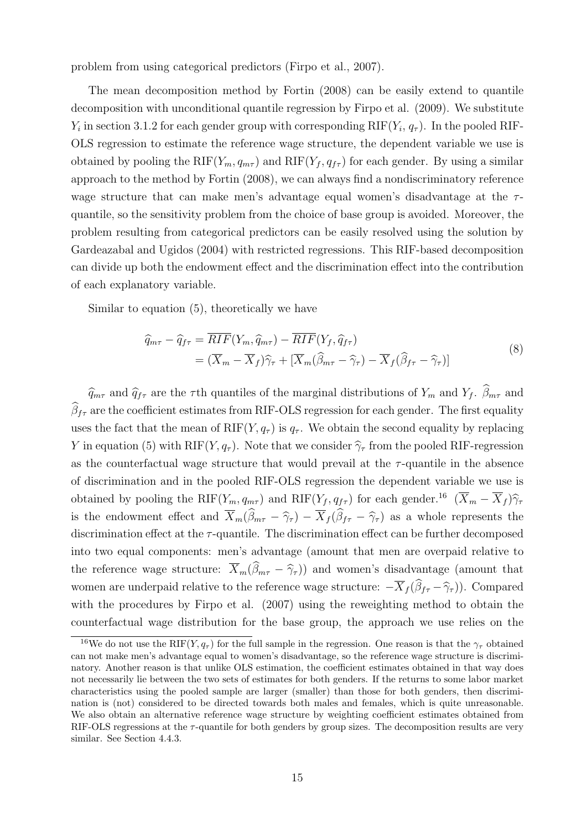problem from using categorical predictors (Firpo et al., 2007).

The mean decomposition method by Fortin (2008) can be easily extend to quantile decomposition with unconditional quantile regression by Firpo et al. (2009). We substitute  $Y_i$  in section 3.1.2 for each gender group with corresponding  $RIF(Y_i, q_\tau)$ . In the pooled RIF-OLS regression to estimate the reference wage structure, the dependent variable we use is obtained by pooling the RIF( $Y_m, q_{m\tau}$ ) and RIF( $Y_f, q_{f\tau}$ ) for each gender. By using a similar approach to the method by Fortin (2008), we can always find a nondiscriminatory reference wage structure that can make men's advantage equal women's disadvantage at the  $\tau$ quantile, so the sensitivity problem from the choice of base group is avoided. Moreover, the problem resulting from categorical predictors can be easily resolved using the solution by Gardeazabal and Ugidos (2004) with restricted regressions. This RIF-based decomposition can divide up both the endowment effect and the discrimination effect into the contribution of each explanatory variable.

Similar to equation (5), theoretically we have

$$
\begin{split} \widehat{q}_{m\tau} - \widehat{q}_{f\tau} &= \overline{RIF}(Y_m, \widehat{q}_{m\tau}) - \overline{RIF}(Y_f, \widehat{q}_{f\tau}) \\ &= (\overline{X}_m - \overline{X}_f)\widehat{\gamma}_\tau + [\overline{X}_m(\widehat{\beta}_{m\tau} - \widehat{\gamma}_\tau) - \overline{X}_f(\widehat{\beta}_{f\tau} - \widehat{\gamma}_\tau)] \end{split} \tag{8}
$$

 $\widehat{q}_{m\tau}$  and  $\widehat{q}_{f\tau}$  are the  $\tau$ th quantiles of the marginal distributions of  $Y_m$  and  $Y_f$ .  $\widehat{\beta}_{m\tau}$  and  $\beta_{f\tau}$  are the coefficient estimates from RIF-OLS regression for each gender. The first equality uses the fact that the mean of  $RIF(Y, q<sub>\tau</sub>)$  is  $q<sub>\tau</sub>$ . We obtain the second equality by replacing Y in equation (5) with RIF(Y,  $q_{\tau}$ ). Note that we consider  $\hat{\gamma}_{\tau}$  from the pooled RIF-regression as the counterfactual wage structure that would prevail at the  $\tau$ -quantile in the absence of discrimination and in the pooled RIF-OLS regression the dependent variable we use is obtained by pooling the RIF( $Y_m, q_{m\tau}$ ) and RIF( $Y_f, q_{f\tau}$ ) for each gender.<sup>16</sup> ( $\overline{X}_m - \overline{X}_f$ ) $\hat{\gamma}_{\tau}$ is the endowment effect and  $\overline{X}_m(\widehat{\beta}_{m\tau} - \widehat{\gamma}_{\tau}) - \overline{X}_{f}(\widehat{\beta}_{f\tau} - \widehat{\gamma}_{\tau})$  as a whole represents the discrimination effect at the  $\tau$ -quantile. The discrimination effect can be further decomposed into two equal components: men's advantage (amount that men are overpaid relative to the reference wage structure:  $\overline{X}_m(\widehat{\beta}_{m\tau} - \widehat{\gamma}_{\tau})$  and women's disadvantage (amount that women are underpaid relative to the reference wage structure:  $-\overline{X}_f(\widehat{\beta}_{f\tau} - \widehat{\gamma}_{\tau})$ ). Compared with the procedures by Firpo et al. (2007) using the reweighting method to obtain the counterfactual wage distribution for the base group, the approach we use relies on the

<sup>&</sup>lt;sup>16</sup>We do not use the RIF(Y,  $q_{\tau}$ ) for the full sample in the regression. One reason is that the  $\gamma_{\tau}$  obtained can not make men's advantage equal to women's disadvantage, so the reference wage structure is discriminatory. Another reason is that unlike OLS estimation, the coefficient estimates obtained in that way does not necessarily lie between the two sets of estimates for both genders. If the returns to some labor market characteristics using the pooled sample are larger (smaller) than those for both genders, then discrimination is (not) considered to be directed towards both males and females, which is quite unreasonable. We also obtain an alternative reference wage structure by weighting coefficient estimates obtained from RIF-OLS regressions at the  $\tau$ -quantile for both genders by group sizes. The decomposition results are very similar. See Section 4.4.3.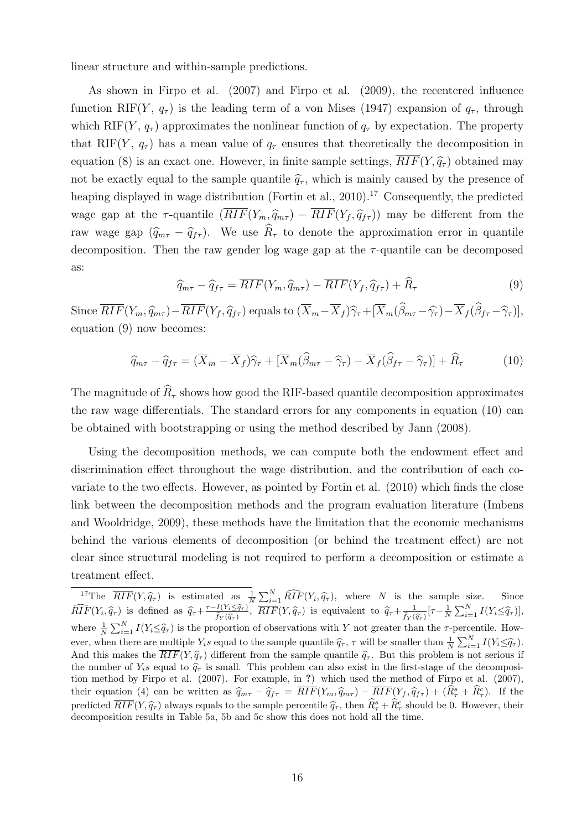linear structure and within-sample predictions.

As shown in Firpo et al. (2007) and Firpo et al. (2009), the recentered influence function RIF(Y,  $q_{\tau}$ ) is the leading term of a von Mises (1947) expansion of  $q_{\tau}$ , through which RIF(Y,  $q_{\tau}$ ) approximates the nonlinear function of  $q_{\tau}$  by expectation. The property that RIF(Y,  $q_{\tau}$ ) has a mean value of  $q_{\tau}$  ensures that theoretically the decomposition in equation (8) is an exact one. However, in finite sample settings,  $\overline{RIF}(Y,\hat{q}_{\tau})$  obtained may not be exactly equal to the sample quantile  $\hat{q}_{\tau}$ , which is mainly caused by the presence of heaping displayed in wage distribution (Fortin et al., 2010).<sup>17</sup> Consequently, the predicted wage gap at the  $\tau$ -quantile  $(\overline{RIF}(Y_m, \hat{q}_{m\tau}) - \overline{RIF}(Y_f, \hat{q}_{f\tau}))$  may be different from the raw wage gap  $(\widehat{q}_{m\tau} - \widehat{q}_{f\tau})$ . We use  $\widehat{R}_{\tau}$  to denote the approximation error in quantile decomposition. Then the raw gender log wage gap at the  $\tau$ -quantile can be decomposed as:

$$
\widehat{q}_{m\tau} - \widehat{q}_{f\tau} = \overline{RIF}(Y_m, \widehat{q}_{m\tau}) - \overline{RIF}(Y_f, \widehat{q}_{f\tau}) + \widehat{R}_{\tau}
$$
\n(9)

Since  $\overline{RIF}(Y_m, \widehat{q}_{m\tau}) - \overline{RIF}(Y_f, \widehat{q}_{f\tau})$  equals to  $(\overline{X}_m - \overline{X}_f)\widehat{\gamma}_{\tau} + [\overline{X}_m(\widehat{\beta}_{m\tau} - \widehat{\gamma}_{\tau}) - \overline{X}_f(\widehat{\beta}_{f\tau} - \widehat{\gamma}_{\tau})],$ equation (9) now becomes:

$$
\widehat{q}_{m\tau} - \widehat{q}_{f\tau} = (\overline{X}_m - \overline{X}_f)\widehat{\gamma}_\tau + [\overline{X}_m(\widehat{\beta}_{m\tau} - \widehat{\gamma}_\tau) - \overline{X}_f(\widehat{\beta}_{f\tau} - \widehat{\gamma}_\tau)] + \widehat{R}_\tau
$$
(10)

The magnitude of  $\widehat{R}_{\tau}$  shows how good the RIF-based quantile decomposition approximates the raw wage differentials. The standard errors for any components in equation (10) can be obtained with bootstrapping or using the method described by Jann (2008).

Using the decomposition methods, we can compute both the endowment effect and discrimination effect throughout the wage distribution, and the contribution of each covariate to the two effects. However, as pointed by Fortin et al. (2010) which finds the close link between the decomposition methods and the program evaluation literature (Imbens and Wooldridge, 2009), these methods have the limitation that the economic mechanisms behind the various elements of decomposition (or behind the treatment effect) are not clear since structural modeling is not required to perform a decomposition or estimate a treatment effect.

<sup>&</sup>lt;sup>17</sup>The  $\overline{RIF}(Y, \hat{q}_\tau)$  is estimated as  $\frac{1}{N} \sum_{i=1}^N \widehat{RIF}(Y_i, \hat{q}_\tau)$ , where N is the sample size. Since  $\widehat{RIF}(Y_i, \widehat{q}_{\tau})$  is defined as  $\widehat{q}_{\tau} + \frac{\tau - I(Y_i \leq \widehat{q}_{\tau})}{\widehat{f}_Y(\widehat{q}_{\tau})}$  $\frac{f(Y_i \leq \hat{q}_\tau)}{\hat{f}_Y(\hat{q}_\tau)}, \overline{RIF}(Y, \hat{q}_\tau)$  is equivalent to  $\hat{q}_\tau + \frac{1}{\hat{f}_Y(\hat{q}_\tau)}$  $\frac{1}{\widehat{f}_Y(\widehat{q}_\tau)}[\tau-\frac{1}{N}\sum_{i=1}^N I(Y_i \leq \widehat{q}_\tau)],$ where  $\frac{1}{N} \sum_{i=1}^{N} I(Y_i \leq \hat{q}_\tau)$  is the proportion of observations with Y not greater than the  $\tau$ -percentile. However, when there are multiple  $Y_i$ s equal to the sample quantile  $\hat{q}_\tau$ ,  $\tau$  will be smaller than  $\frac{1}{N} \sum_{i=1}^N I(Y_i \leq \hat{q}_\tau)$ . And this makes the  $\overline{RIF}(Y, \hat{q}_\tau)$  different from the sample quantile  $\hat{q}_\tau$ . But this problem is not serious if the number of  $Y_i$ s equal to  $\hat{q}_\tau$  is small. This problem can also exist in the first-stage of the decomposition method by Firpo et al. (2007). For example, in ?) which used the method of Firpo et al. (2007), their equation (4) can be written as  $\hat{q}_{m\tau} - \hat{q}_{f\tau} = \overline{RIF}(Y_m, \hat{q}_{m\tau}) - \overline{RIF}(Y_f, \hat{q}_{f\tau}) + (\hat{R}^s_{\tau} + \hat{R}^c_{\tau}).$  If the predicted  $\overline{RIF}(Y, \hat{q}_\tau)$  always equals to the sample percentile  $\hat{q}_\tau$ , then  $\hat{R}^s_\tau + \hat{R}^c_\tau$  should be 0. However, their decomposition results in Table 5a, 5b and 5c show this does not hold all the time.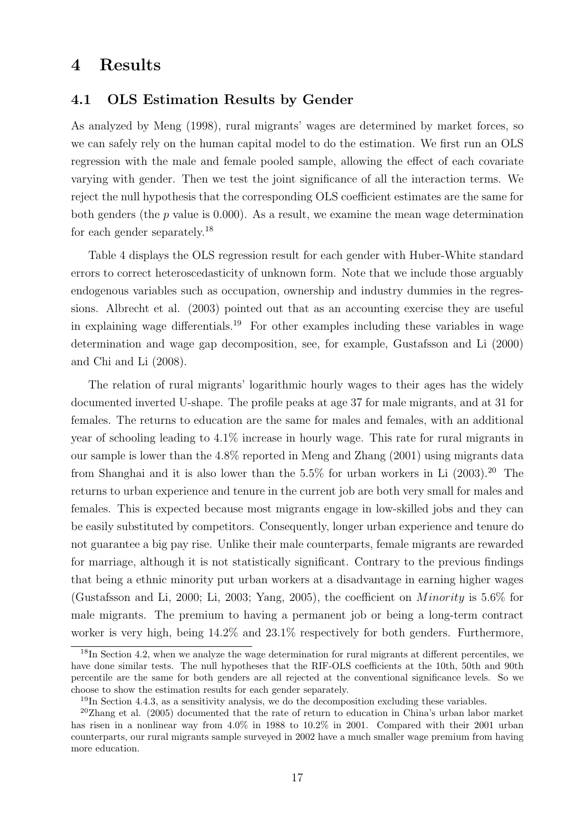# 4 Results

### 4.1 OLS Estimation Results by Gender

As analyzed by Meng (1998), rural migrants' wages are determined by market forces, so we can safely rely on the human capital model to do the estimation. We first run an OLS regression with the male and female pooled sample, allowing the effect of each covariate varying with gender. Then we test the joint significance of all the interaction terms. We reject the null hypothesis that the corresponding OLS coefficient estimates are the same for both genders (the  $p$  value is 0.000). As a result, we examine the mean wage determination for each gender separately.<sup>18</sup>

Table 4 displays the OLS regression result for each gender with Huber-White standard errors to correct heteroscedasticity of unknown form. Note that we include those arguably endogenous variables such as occupation, ownership and industry dummies in the regressions. Albrecht et al. (2003) pointed out that as an accounting exercise they are useful in explaining wage differentials.<sup>19</sup> For other examples including these variables in wage determination and wage gap decomposition, see, for example, Gustafsson and Li (2000) and Chi and Li (2008).

The relation of rural migrants' logarithmic hourly wages to their ages has the widely documented inverted U-shape. The profile peaks at age 37 for male migrants, and at 31 for females. The returns to education are the same for males and females, with an additional year of schooling leading to 4.1% increase in hourly wage. This rate for rural migrants in our sample is lower than the 4.8% reported in Meng and Zhang (2001) using migrants data from Shanghai and it is also lower than the  $5.5\%$  for urban workers in Li  $(2003).^{20}$  The returns to urban experience and tenure in the current job are both very small for males and females. This is expected because most migrants engage in low-skilled jobs and they can be easily substituted by competitors. Consequently, longer urban experience and tenure do not guarantee a big pay rise. Unlike their male counterparts, female migrants are rewarded for marriage, although it is not statistically significant. Contrary to the previous findings that being a ethnic minority put urban workers at a disadvantage in earning higher wages (Gustafsson and Li, 2000; Li, 2003; Yang, 2005), the coefficient on *Minority* is 5.6% for male migrants. The premium to having a permanent job or being a long-term contract worker is very high, being 14.2% and 23.1% respectively for both genders. Furthermore,

<sup>&</sup>lt;sup>18</sup>In Section 4.2, when we analyze the wage determination for rural migrants at different percentiles, we have done similar tests. The null hypotheses that the RIF-OLS coefficients at the 10th, 50th and 90th percentile are the same for both genders are all rejected at the conventional significance levels. So we choose to show the estimation results for each gender separately.

<sup>&</sup>lt;sup>19</sup>In Section 4.4.3, as a sensitivity analysis, we do the decomposition excluding these variables.

 $^{20}$ Zhang et al. (2005) documented that the rate of return to education in China's urban labor market has risen in a nonlinear way from 4.0% in 1988 to 10.2% in 2001. Compared with their 2001 urban counterparts, our rural migrants sample surveyed in 2002 have a much smaller wage premium from having more education.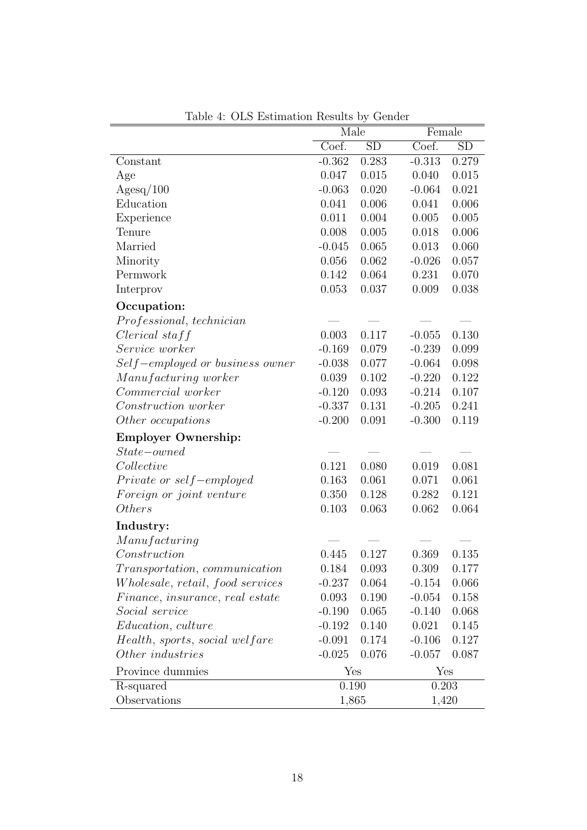|                                         | $\sim$ 200 $\sim$ 200 $\sim$ 200 $\sim$ 200 $\sim$ 6<br><b>COLLUCT</b><br>Male<br>Female |       |          |           |  |
|-----------------------------------------|------------------------------------------------------------------------------------------|-------|----------|-----------|--|
|                                         | Coef.                                                                                    | SD    | Coef.    | <b>SD</b> |  |
| Constant                                | $-0.362$                                                                                 | 0.283 | $-0.313$ | 0.279     |  |
| Age                                     | 0.047                                                                                    | 0.015 | 0.040    | 0.015     |  |
| $\text{Agesq}/100$                      | $-0.063$                                                                                 | 0.020 | $-0.064$ | 0.021     |  |
| Education                               | 0.041                                                                                    | 0.006 | 0.041    | 0.006     |  |
| Experience                              | 0.011                                                                                    | 0.004 | 0.005    | 0.005     |  |
| Tenure                                  | 0.008                                                                                    | 0.005 | 0.018    | 0.006     |  |
| Married                                 | $-0.045$                                                                                 | 0.065 | 0.013    | 0.060     |  |
| Minority                                | 0.056                                                                                    | 0.062 | $-0.026$ | 0.057     |  |
| Permwork                                | 0.142                                                                                    | 0.064 | 0.231    | 0.070     |  |
| Interprov                               | 0.053                                                                                    | 0.037 | 0.009    | 0.038     |  |
| Occupation:                             |                                                                                          |       |          |           |  |
| Professional, technician                |                                                                                          |       |          |           |  |
| $Clerical$ staff                        | 0.003                                                                                    | 0.117 | $-0.055$ | 0.130     |  |
| Service worker                          | $-0.169$                                                                                 | 0.079 | $-0.239$ | 0.099     |  |
| Self-employed or business owner         | $-0.038$                                                                                 | 0.077 | $-0.064$ | 0.098     |  |
| Manufacturing worker                    | 0.039                                                                                    | 0.102 | $-0.220$ | 0.122     |  |
| Commercial worker                       | $-0.120$                                                                                 | 0.093 | $-0.214$ | 0.107     |  |
| <i>Construction worker</i>              | $-0.337$                                                                                 | 0.131 | $-0.205$ | 0.241     |  |
| Other occupations                       | $-0.200$                                                                                 | 0.091 | $-0.300$ | 0.119     |  |
| <b>Employer Ownership:</b>              |                                                                                          |       |          |           |  |
| $State-owned$                           |                                                                                          |       |          |           |  |
| Collective                              | 0.121                                                                                    | 0.080 | 0.019    | 0.081     |  |
| $Private\ or\ self-employed$            | 0.163                                                                                    | 0.061 | 0.071    | 0.061     |  |
| Foreign or joint venture                | 0.350                                                                                    | 0.128 | 0.282    | 0.121     |  |
| <i>Others</i>                           | 0.103                                                                                    | 0.063 | 0.062    | 0.064     |  |
| Industry:                               |                                                                                          |       |          |           |  |
| Manufacturing                           |                                                                                          |       |          |           |  |
| Construction                            | 0.445                                                                                    | 0.127 | 0.369    | 0.135     |  |
| <i>Transportation, communication</i>    | 0.184                                                                                    | 0.093 | 0.309    | 0.177     |  |
| <i>Wholesale, retail, food services</i> | $-0.237$                                                                                 | 0.064 | $-0.154$ | 0.066     |  |
| Finance, insurance, real estate         | 0.093                                                                                    | 0.190 | $-0.054$ | 0.158     |  |
| Social service                          | $-0.190$                                                                                 | 0.065 | $-0.140$ | 0.068     |  |
| <i>Education, culture</i>               | $-0.192$                                                                                 | 0.140 | 0.021    | 0.145     |  |
| Health, sports, social welfare          | $-0.091$                                                                                 | 0.174 | $-0.106$ | 0.127     |  |
| Other industries                        | $-0.025$                                                                                 | 0.076 | $-0.057$ | 0.087     |  |
| Province dummies                        | Yes                                                                                      |       | Yes      |           |  |
| R-squared                               | 0.190                                                                                    |       | 0.203    |           |  |
| Observations                            | 1,865                                                                                    |       | 1,420    |           |  |
|                                         |                                                                                          |       |          |           |  |

Table 4: OLS Estimation Results by Gender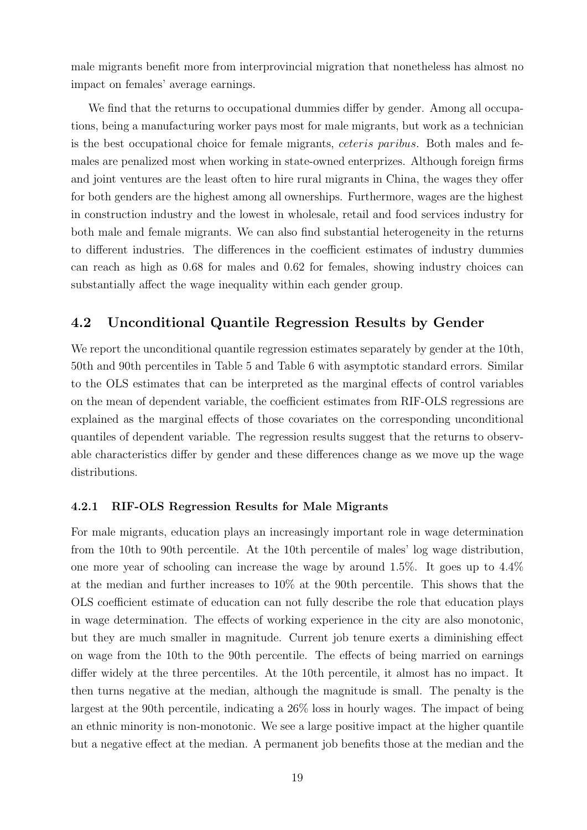male migrants benefit more from interprovincial migration that nonetheless has almost no impact on females' average earnings.

We find that the returns to occupational dummies differ by gender. Among all occupations, being a manufacturing worker pays most for male migrants, but work as a technician is the best occupational choice for female migrants, *ceteris paribus*. Both males and females are penalized most when working in state-owned enterprizes. Although foreign firms and joint ventures are the least often to hire rural migrants in China, the wages they offer for both genders are the highest among all ownerships. Furthermore, wages are the highest in construction industry and the lowest in wholesale, retail and food services industry for both male and female migrants. We can also find substantial heterogeneity in the returns to different industries. The differences in the coefficient estimates of industry dummies can reach as high as 0.68 for males and 0.62 for females, showing industry choices can substantially affect the wage inequality within each gender group.

### 4.2 Unconditional Quantile Regression Results by Gender

We report the unconditional quantile regression estimates separately by gender at the 10th, 50th and 90th percentiles in Table 5 and Table 6 with asymptotic standard errors. Similar to the OLS estimates that can be interpreted as the marginal effects of control variables on the mean of dependent variable, the coefficient estimates from RIF-OLS regressions are explained as the marginal effects of those covariates on the corresponding unconditional quantiles of dependent variable. The regression results suggest that the returns to observable characteristics differ by gender and these differences change as we move up the wage distributions.

### 4.2.1 RIF-OLS Regression Results for Male Migrants

For male migrants, education plays an increasingly important role in wage determination from the 10th to 90th percentile. At the 10th percentile of males' log wage distribution, one more year of schooling can increase the wage by around 1.5%. It goes up to 4.4% at the median and further increases to 10% at the 90th percentile. This shows that the OLS coefficient estimate of education can not fully describe the role that education plays in wage determination. The effects of working experience in the city are also monotonic, but they are much smaller in magnitude. Current job tenure exerts a diminishing effect on wage from the 10th to the 90th percentile. The effects of being married on earnings differ widely at the three percentiles. At the 10th percentile, it almost has no impact. It then turns negative at the median, although the magnitude is small. The penalty is the largest at the 90th percentile, indicating a 26% loss in hourly wages. The impact of being an ethnic minority is non-monotonic. We see a large positive impact at the higher quantile but a negative effect at the median. A permanent job benefits those at the median and the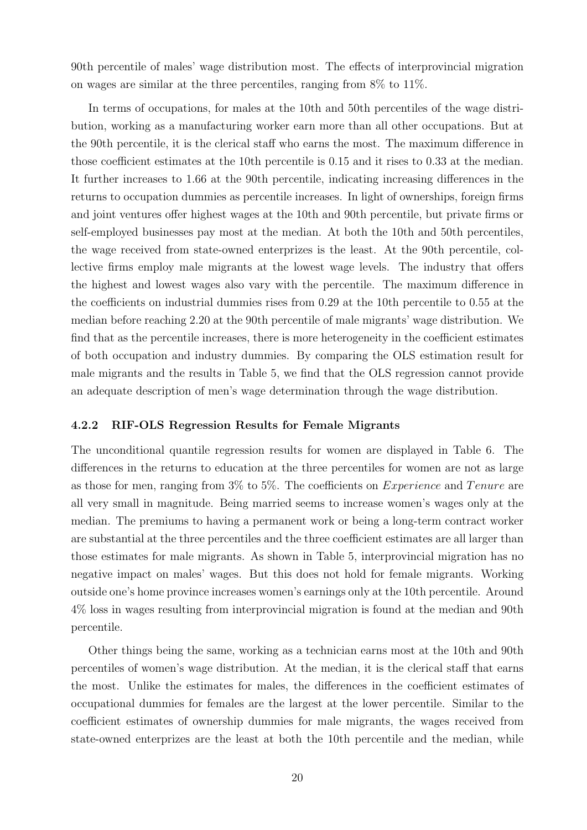90th percentile of males' wage distribution most. The effects of interprovincial migration on wages are similar at the three percentiles, ranging from 8% to 11%.

In terms of occupations, for males at the 10th and 50th percentiles of the wage distribution, working as a manufacturing worker earn more than all other occupations. But at the 90th percentile, it is the clerical staff who earns the most. The maximum difference in those coefficient estimates at the 10th percentile is 0.15 and it rises to 0.33 at the median. It further increases to 1.66 at the 90th percentile, indicating increasing differences in the returns to occupation dummies as percentile increases. In light of ownerships, foreign firms and joint ventures offer highest wages at the 10th and 90th percentile, but private firms or self-employed businesses pay most at the median. At both the 10th and 50th percentiles, the wage received from state-owned enterprizes is the least. At the 90th percentile, collective firms employ male migrants at the lowest wage levels. The industry that offers the highest and lowest wages also vary with the percentile. The maximum difference in the coefficients on industrial dummies rises from 0.29 at the 10th percentile to 0.55 at the median before reaching 2.20 at the 90th percentile of male migrants' wage distribution. We find that as the percentile increases, there is more heterogeneity in the coefficient estimates of both occupation and industry dummies. By comparing the OLS estimation result for male migrants and the results in Table 5, we find that the OLS regression cannot provide an adequate description of men's wage determination through the wage distribution.

#### 4.2.2 RIF-OLS Regression Results for Female Migrants

The unconditional quantile regression results for women are displayed in Table 6. The differences in the returns to education at the three percentiles for women are not as large as those for men, ranging from  $3\%$  to  $5\%$ . The coefficients on *Experience* and *Tenure* are all very small in magnitude. Being married seems to increase women's wages only at the median. The premiums to having a permanent work or being a long-term contract worker are substantial at the three percentiles and the three coefficient estimates are all larger than those estimates for male migrants. As shown in Table 5, interprovincial migration has no negative impact on males' wages. But this does not hold for female migrants. Working outside one's home province increases women's earnings only at the 10th percentile. Around 4% loss in wages resulting from interprovincial migration is found at the median and 90th percentile.

Other things being the same, working as a technician earns most at the 10th and 90th percentiles of women's wage distribution. At the median, it is the clerical staff that earns the most. Unlike the estimates for males, the differences in the coefficient estimates of occupational dummies for females are the largest at the lower percentile. Similar to the coefficient estimates of ownership dummies for male migrants, the wages received from state-owned enterprizes are the least at both the 10th percentile and the median, while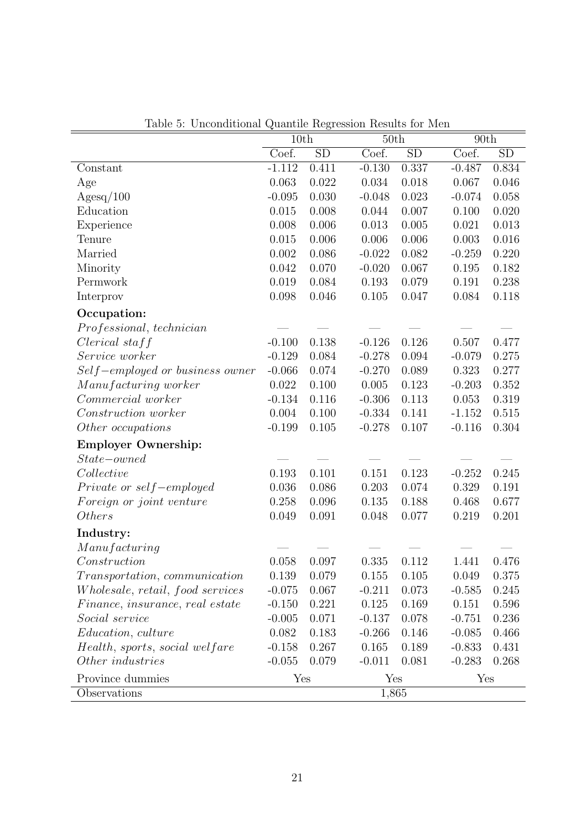| Table 9. Oncontributat Quantific regression results for men | 10th     |       |          | 50th  |          | 90th  |  |
|-------------------------------------------------------------|----------|-------|----------|-------|----------|-------|--|
|                                                             | Coef.    | SD    | Coef.    | SD    | Coef.    | SD    |  |
| Constant                                                    | $-1.112$ | 0.411 | $-0.130$ | 0.337 | $-0.487$ | 0.834 |  |
| Age                                                         | 0.063    | 0.022 | 0.034    | 0.018 | 0.067    | 0.046 |  |
| Agesq/100                                                   | $-0.095$ | 0.030 | $-0.048$ | 0.023 | $-0.074$ | 0.058 |  |
| Education                                                   | 0.015    | 0.008 | 0.044    | 0.007 | 0.100    | 0.020 |  |
| Experience                                                  | 0.008    | 0.006 | 0.013    | 0.005 | 0.021    | 0.013 |  |
| Tenure                                                      | 0.015    | 0.006 | 0.006    | 0.006 | 0.003    | 0.016 |  |
| Married                                                     | 0.002    | 0.086 | $-0.022$ | 0.082 | $-0.259$ | 0.220 |  |
| Minority                                                    | 0.042    | 0.070 | $-0.020$ | 0.067 | 0.195    | 0.182 |  |
| Permwork                                                    | 0.019    | 0.084 | 0.193    | 0.079 | 0.191    | 0.238 |  |
| Interprov                                                   | 0.098    | 0.046 | 0.105    | 0.047 | 0.084    | 0.118 |  |
| Occupation:                                                 |          |       |          |       |          |       |  |
| Professional, technician                                    |          |       |          |       |          |       |  |
| $Clerical$ staff                                            | $-0.100$ | 0.138 | $-0.126$ | 0.126 | 0.507    | 0.477 |  |
| Service worker                                              | $-0.129$ | 0.084 | $-0.278$ | 0.094 | $-0.079$ | 0.275 |  |
| $Self-employed\ or\ business\ owner$                        | $-0.066$ | 0.074 | $-0.270$ | 0.089 | 0.323    | 0.277 |  |
| Manufacturing worker                                        | 0.022    | 0.100 | 0.005    | 0.123 | $-0.203$ | 0.352 |  |
| Commercial worker                                           | $-0.134$ | 0.116 | $-0.306$ | 0.113 | 0.053    | 0.319 |  |
| Construction worker                                         | 0.004    | 0.100 | $-0.334$ | 0.141 | $-1.152$ | 0.515 |  |
| Other occupations                                           | $-0.199$ | 0.105 | $-0.278$ | 0.107 | $-0.116$ | 0.304 |  |
| <b>Employer Ownership:</b>                                  |          |       |          |       |          |       |  |
| $State-owned$                                               |          |       |          |       |          |       |  |
| Collective                                                  | 0.193    | 0.101 | 0.151    | 0.123 | $-0.252$ | 0.245 |  |
| Private or self-employed                                    | 0.036    | 0.086 | 0.203    | 0.074 | 0.329    | 0.191 |  |
| Foreign or joint venture                                    | 0.258    | 0.096 | 0.135    | 0.188 | 0.468    | 0.677 |  |
| <i>Others</i>                                               | 0.049    | 0.091 | 0.048    | 0.077 | 0.219    | 0.201 |  |
| Industry:                                                   |          |       |          |       |          |       |  |
| Manufacturing                                               |          |       |          |       |          |       |  |
| Construction                                                | 0.058    | 0.097 | 0.335    | 0.112 | 1.441    | 0.476 |  |
| <i>Transportation, communication</i>                        | 0.139    | 0.079 | 0.155    | 0.105 | 0.049    | 0.375 |  |
| <i>Wholesale, retail, food services</i>                     | $-0.075$ | 0.067 | $-0.211$ | 0.073 | $-0.585$ | 0.245 |  |
| Finance, insurance, real estate                             | $-0.150$ | 0.221 | 0.125    | 0.169 | 0.151    | 0.596 |  |
| Social service                                              | $-0.005$ | 0.071 | $-0.137$ | 0.078 | $-0.751$ | 0.236 |  |
| <i>Education, culture</i>                                   | 0.082    | 0.183 | $-0.266$ | 0.146 | $-0.085$ | 0.466 |  |
| Health, sports, social welfare                              | $-0.158$ | 0.267 | 0.165    | 0.189 | $-0.833$ | 0.431 |  |
| Other industries                                            | $-0.055$ | 0.079 | $-0.011$ | 0.081 | $-0.283$ | 0.268 |  |
| Province dummies                                            | Yes      |       | Yes      |       | Yes      |       |  |
| Observations                                                |          |       | 1,865    |       |          |       |  |

Table 5: Unconditional Quantile Regression Results for Men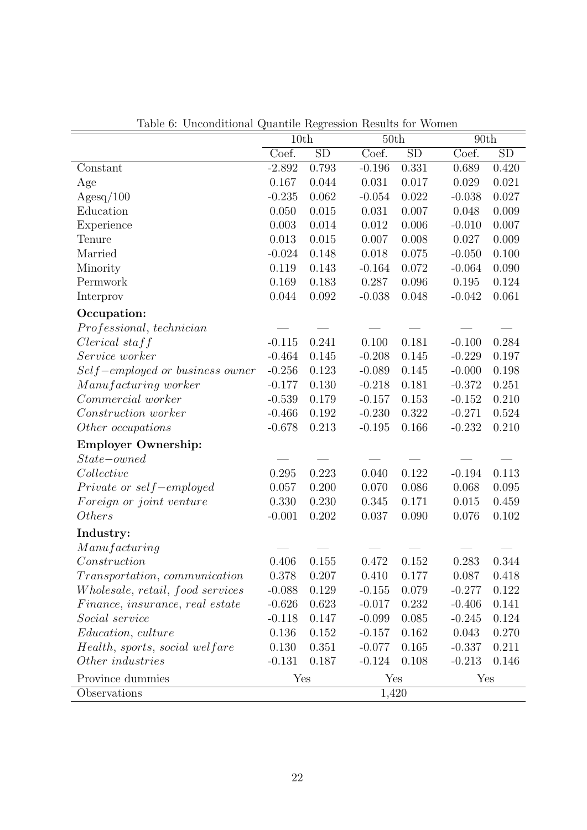| Coef.<br>SD<br>SD<br>SD<br>Coef.<br>Coef.<br>$-2.892$<br>0.793<br>$-0.196$<br>0.331<br>0.420<br>Constant<br>0.689<br>0.167<br>0.044<br>0.031<br>0.017<br>0.021<br>0.029<br>Age<br>Agesq/100<br>$-0.235$<br>0.062<br>$-0.054$<br>0.022<br>0.027<br>$-0.038$<br>Education<br>0.050<br>0.015<br>0.007<br>0.009<br>0.031<br>0.048<br>Experience<br>0.003<br>0.014<br>0.012<br>0.006<br>0.007<br>$-0.010$<br>Tenure<br>0.013<br>0.015<br>0.007<br>0.008<br>0.027<br>0.009<br>Married<br>0.018<br>$-0.024$<br>0.148<br>0.075<br>$-0.050$<br>0.100<br>Minority<br>0.119<br>0.143<br>$-0.164$<br>0.072<br>$-0.064$<br>0.090<br>Permwork<br>0.169<br>0.096<br>0.183<br>0.287<br>0.195<br>0.124<br>0.044<br>0.048<br>0.061<br>Interprov<br>0.092<br>$-0.038$<br>$-0.042$<br>Occupation:<br>Professional, technician<br>0.241<br>0.181<br>$Clerical$ staff<br>$-0.115$<br>0.100<br>$-0.100$<br>0.284<br>Service worker<br>$-0.464$<br>0.145<br>$-0.208$<br>0.145<br>0.197<br>$-0.229$<br>Self-employed or business owner<br>$-0.256$<br>0.145<br>0.198<br>0.123<br>$-0.089$<br>$-0.000$<br>Manufacturing worker<br>0.130<br>$-0.218$<br>0.181<br>$-0.177$<br>$-0.372$<br>0.251<br>0.210<br>Commercial worker<br>$-0.539$<br>0.179<br>$-0.157$<br>0.153<br>$-0.152$<br>Construction worker<br>0.322<br>$-0.466$<br>0.192<br>$-0.230$<br>$-0.271$<br>0.524<br>0.213<br>0.166<br>$-0.232$<br>0.210<br>Other occupations<br>$-0.678$<br>$-0.195$<br><b>Employer Ownership:</b><br>$State-owned$<br>0.295<br>0.223<br>0.122<br>Collective<br>0.040<br>$-0.194$<br>0.113<br>Private or self-employed<br>0.057<br>0.200<br>0.070<br>0.086<br>0.068<br>0.095<br>0.330<br>0.345<br>0.171<br>0.015<br>0.459<br>Foreign or joint venture<br>0.230<br>0.202<br>0.102<br><i>Others</i><br>$-0.001$<br>0.037<br>0.090<br>0.076 |           | 10th |  | 50th |  | 90th |  |
|-------------------------------------------------------------------------------------------------------------------------------------------------------------------------------------------------------------------------------------------------------------------------------------------------------------------------------------------------------------------------------------------------------------------------------------------------------------------------------------------------------------------------------------------------------------------------------------------------------------------------------------------------------------------------------------------------------------------------------------------------------------------------------------------------------------------------------------------------------------------------------------------------------------------------------------------------------------------------------------------------------------------------------------------------------------------------------------------------------------------------------------------------------------------------------------------------------------------------------------------------------------------------------------------------------------------------------------------------------------------------------------------------------------------------------------------------------------------------------------------------------------------------------------------------------------------------------------------------------------------------------------------------------------------------------------------------------------------------------------------------------------------------------------------------------|-----------|------|--|------|--|------|--|
|                                                                                                                                                                                                                                                                                                                                                                                                                                                                                                                                                                                                                                                                                                                                                                                                                                                                                                                                                                                                                                                                                                                                                                                                                                                                                                                                                                                                                                                                                                                                                                                                                                                                                                                                                                                                       |           |      |  |      |  |      |  |
|                                                                                                                                                                                                                                                                                                                                                                                                                                                                                                                                                                                                                                                                                                                                                                                                                                                                                                                                                                                                                                                                                                                                                                                                                                                                                                                                                                                                                                                                                                                                                                                                                                                                                                                                                                                                       |           |      |  |      |  |      |  |
|                                                                                                                                                                                                                                                                                                                                                                                                                                                                                                                                                                                                                                                                                                                                                                                                                                                                                                                                                                                                                                                                                                                                                                                                                                                                                                                                                                                                                                                                                                                                                                                                                                                                                                                                                                                                       |           |      |  |      |  |      |  |
|                                                                                                                                                                                                                                                                                                                                                                                                                                                                                                                                                                                                                                                                                                                                                                                                                                                                                                                                                                                                                                                                                                                                                                                                                                                                                                                                                                                                                                                                                                                                                                                                                                                                                                                                                                                                       |           |      |  |      |  |      |  |
|                                                                                                                                                                                                                                                                                                                                                                                                                                                                                                                                                                                                                                                                                                                                                                                                                                                                                                                                                                                                                                                                                                                                                                                                                                                                                                                                                                                                                                                                                                                                                                                                                                                                                                                                                                                                       |           |      |  |      |  |      |  |
|                                                                                                                                                                                                                                                                                                                                                                                                                                                                                                                                                                                                                                                                                                                                                                                                                                                                                                                                                                                                                                                                                                                                                                                                                                                                                                                                                                                                                                                                                                                                                                                                                                                                                                                                                                                                       |           |      |  |      |  |      |  |
|                                                                                                                                                                                                                                                                                                                                                                                                                                                                                                                                                                                                                                                                                                                                                                                                                                                                                                                                                                                                                                                                                                                                                                                                                                                                                                                                                                                                                                                                                                                                                                                                                                                                                                                                                                                                       |           |      |  |      |  |      |  |
|                                                                                                                                                                                                                                                                                                                                                                                                                                                                                                                                                                                                                                                                                                                                                                                                                                                                                                                                                                                                                                                                                                                                                                                                                                                                                                                                                                                                                                                                                                                                                                                                                                                                                                                                                                                                       |           |      |  |      |  |      |  |
|                                                                                                                                                                                                                                                                                                                                                                                                                                                                                                                                                                                                                                                                                                                                                                                                                                                                                                                                                                                                                                                                                                                                                                                                                                                                                                                                                                                                                                                                                                                                                                                                                                                                                                                                                                                                       |           |      |  |      |  |      |  |
|                                                                                                                                                                                                                                                                                                                                                                                                                                                                                                                                                                                                                                                                                                                                                                                                                                                                                                                                                                                                                                                                                                                                                                                                                                                                                                                                                                                                                                                                                                                                                                                                                                                                                                                                                                                                       |           |      |  |      |  |      |  |
|                                                                                                                                                                                                                                                                                                                                                                                                                                                                                                                                                                                                                                                                                                                                                                                                                                                                                                                                                                                                                                                                                                                                                                                                                                                                                                                                                                                                                                                                                                                                                                                                                                                                                                                                                                                                       |           |      |  |      |  |      |  |
|                                                                                                                                                                                                                                                                                                                                                                                                                                                                                                                                                                                                                                                                                                                                                                                                                                                                                                                                                                                                                                                                                                                                                                                                                                                                                                                                                                                                                                                                                                                                                                                                                                                                                                                                                                                                       |           |      |  |      |  |      |  |
|                                                                                                                                                                                                                                                                                                                                                                                                                                                                                                                                                                                                                                                                                                                                                                                                                                                                                                                                                                                                                                                                                                                                                                                                                                                                                                                                                                                                                                                                                                                                                                                                                                                                                                                                                                                                       |           |      |  |      |  |      |  |
|                                                                                                                                                                                                                                                                                                                                                                                                                                                                                                                                                                                                                                                                                                                                                                                                                                                                                                                                                                                                                                                                                                                                                                                                                                                                                                                                                                                                                                                                                                                                                                                                                                                                                                                                                                                                       |           |      |  |      |  |      |  |
|                                                                                                                                                                                                                                                                                                                                                                                                                                                                                                                                                                                                                                                                                                                                                                                                                                                                                                                                                                                                                                                                                                                                                                                                                                                                                                                                                                                                                                                                                                                                                                                                                                                                                                                                                                                                       |           |      |  |      |  |      |  |
|                                                                                                                                                                                                                                                                                                                                                                                                                                                                                                                                                                                                                                                                                                                                                                                                                                                                                                                                                                                                                                                                                                                                                                                                                                                                                                                                                                                                                                                                                                                                                                                                                                                                                                                                                                                                       |           |      |  |      |  |      |  |
|                                                                                                                                                                                                                                                                                                                                                                                                                                                                                                                                                                                                                                                                                                                                                                                                                                                                                                                                                                                                                                                                                                                                                                                                                                                                                                                                                                                                                                                                                                                                                                                                                                                                                                                                                                                                       |           |      |  |      |  |      |  |
|                                                                                                                                                                                                                                                                                                                                                                                                                                                                                                                                                                                                                                                                                                                                                                                                                                                                                                                                                                                                                                                                                                                                                                                                                                                                                                                                                                                                                                                                                                                                                                                                                                                                                                                                                                                                       |           |      |  |      |  |      |  |
|                                                                                                                                                                                                                                                                                                                                                                                                                                                                                                                                                                                                                                                                                                                                                                                                                                                                                                                                                                                                                                                                                                                                                                                                                                                                                                                                                                                                                                                                                                                                                                                                                                                                                                                                                                                                       |           |      |  |      |  |      |  |
|                                                                                                                                                                                                                                                                                                                                                                                                                                                                                                                                                                                                                                                                                                                                                                                                                                                                                                                                                                                                                                                                                                                                                                                                                                                                                                                                                                                                                                                                                                                                                                                                                                                                                                                                                                                                       |           |      |  |      |  |      |  |
|                                                                                                                                                                                                                                                                                                                                                                                                                                                                                                                                                                                                                                                                                                                                                                                                                                                                                                                                                                                                                                                                                                                                                                                                                                                                                                                                                                                                                                                                                                                                                                                                                                                                                                                                                                                                       |           |      |  |      |  |      |  |
|                                                                                                                                                                                                                                                                                                                                                                                                                                                                                                                                                                                                                                                                                                                                                                                                                                                                                                                                                                                                                                                                                                                                                                                                                                                                                                                                                                                                                                                                                                                                                                                                                                                                                                                                                                                                       |           |      |  |      |  |      |  |
|                                                                                                                                                                                                                                                                                                                                                                                                                                                                                                                                                                                                                                                                                                                                                                                                                                                                                                                                                                                                                                                                                                                                                                                                                                                                                                                                                                                                                                                                                                                                                                                                                                                                                                                                                                                                       |           |      |  |      |  |      |  |
|                                                                                                                                                                                                                                                                                                                                                                                                                                                                                                                                                                                                                                                                                                                                                                                                                                                                                                                                                                                                                                                                                                                                                                                                                                                                                                                                                                                                                                                                                                                                                                                                                                                                                                                                                                                                       |           |      |  |      |  |      |  |
|                                                                                                                                                                                                                                                                                                                                                                                                                                                                                                                                                                                                                                                                                                                                                                                                                                                                                                                                                                                                                                                                                                                                                                                                                                                                                                                                                                                                                                                                                                                                                                                                                                                                                                                                                                                                       |           |      |  |      |  |      |  |
|                                                                                                                                                                                                                                                                                                                                                                                                                                                                                                                                                                                                                                                                                                                                                                                                                                                                                                                                                                                                                                                                                                                                                                                                                                                                                                                                                                                                                                                                                                                                                                                                                                                                                                                                                                                                       |           |      |  |      |  |      |  |
|                                                                                                                                                                                                                                                                                                                                                                                                                                                                                                                                                                                                                                                                                                                                                                                                                                                                                                                                                                                                                                                                                                                                                                                                                                                                                                                                                                                                                                                                                                                                                                                                                                                                                                                                                                                                       | Industry: |      |  |      |  |      |  |
| Manufacturing                                                                                                                                                                                                                                                                                                                                                                                                                                                                                                                                                                                                                                                                                                                                                                                                                                                                                                                                                                                                                                                                                                                                                                                                                                                                                                                                                                                                                                                                                                                                                                                                                                                                                                                                                                                         |           |      |  |      |  |      |  |
| 0.406<br>0.472<br>0.283<br>Construction<br>0.155<br>0.152<br>0.344                                                                                                                                                                                                                                                                                                                                                                                                                                                                                                                                                                                                                                                                                                                                                                                                                                                                                                                                                                                                                                                                                                                                                                                                                                                                                                                                                                                                                                                                                                                                                                                                                                                                                                                                    |           |      |  |      |  |      |  |
| 0.378<br>0.410<br>0.087<br>Transportation, communication<br>0.207<br>0.177<br>0.418                                                                                                                                                                                                                                                                                                                                                                                                                                                                                                                                                                                                                                                                                                                                                                                                                                                                                                                                                                                                                                                                                                                                                                                                                                                                                                                                                                                                                                                                                                                                                                                                                                                                                                                   |           |      |  |      |  |      |  |
| Wholesale, retail, food services<br>$-0.088$<br>0.129<br>$-0.155$<br>0.079<br>$-0.277$<br>0.122                                                                                                                                                                                                                                                                                                                                                                                                                                                                                                                                                                                                                                                                                                                                                                                                                                                                                                                                                                                                                                                                                                                                                                                                                                                                                                                                                                                                                                                                                                                                                                                                                                                                                                       |           |      |  |      |  |      |  |
| Finance, insurance, real estate<br>$-0.626$<br>0.623<br>$-0.017$<br>0.232<br>0.141<br>$-0.406$                                                                                                                                                                                                                                                                                                                                                                                                                                                                                                                                                                                                                                                                                                                                                                                                                                                                                                                                                                                                                                                                                                                                                                                                                                                                                                                                                                                                                                                                                                                                                                                                                                                                                                        |           |      |  |      |  |      |  |
| Social service<br>0.147<br>0.085<br>0.124<br>$-0.118$<br>$-0.099$<br>$-0.245$                                                                                                                                                                                                                                                                                                                                                                                                                                                                                                                                                                                                                                                                                                                                                                                                                                                                                                                                                                                                                                                                                                                                                                                                                                                                                                                                                                                                                                                                                                                                                                                                                                                                                                                         |           |      |  |      |  |      |  |
| Education, culture<br>0.136<br>0.152<br>0.162<br>0.043<br>0.270<br>$-0.157$                                                                                                                                                                                                                                                                                                                                                                                                                                                                                                                                                                                                                                                                                                                                                                                                                                                                                                                                                                                                                                                                                                                                                                                                                                                                                                                                                                                                                                                                                                                                                                                                                                                                                                                           |           |      |  |      |  |      |  |
| 0.130<br>0.165<br>0.211<br>Health, sports, social welfare<br>0.351<br>$-0.077$<br>$-0.337$                                                                                                                                                                                                                                                                                                                                                                                                                                                                                                                                                                                                                                                                                                                                                                                                                                                                                                                                                                                                                                                                                                                                                                                                                                                                                                                                                                                                                                                                                                                                                                                                                                                                                                            |           |      |  |      |  |      |  |
| Other industries<br>$-0.131$<br>0.187<br>$-0.124$<br>0.108<br>0.146<br>$-0.213$                                                                                                                                                                                                                                                                                                                                                                                                                                                                                                                                                                                                                                                                                                                                                                                                                                                                                                                                                                                                                                                                                                                                                                                                                                                                                                                                                                                                                                                                                                                                                                                                                                                                                                                       |           |      |  |      |  |      |  |
| Province dummies<br>Yes<br>Yes<br>Yes                                                                                                                                                                                                                                                                                                                                                                                                                                                                                                                                                                                                                                                                                                                                                                                                                                                                                                                                                                                                                                                                                                                                                                                                                                                                                                                                                                                                                                                                                                                                                                                                                                                                                                                                                                 |           |      |  |      |  |      |  |
| Observations<br>1,420                                                                                                                                                                                                                                                                                                                                                                                                                                                                                                                                                                                                                                                                                                                                                                                                                                                                                                                                                                                                                                                                                                                                                                                                                                                                                                                                                                                                                                                                                                                                                                                                                                                                                                                                                                                 |           |      |  |      |  |      |  |

Table 6: Unconditional Quantile Regression Results for Women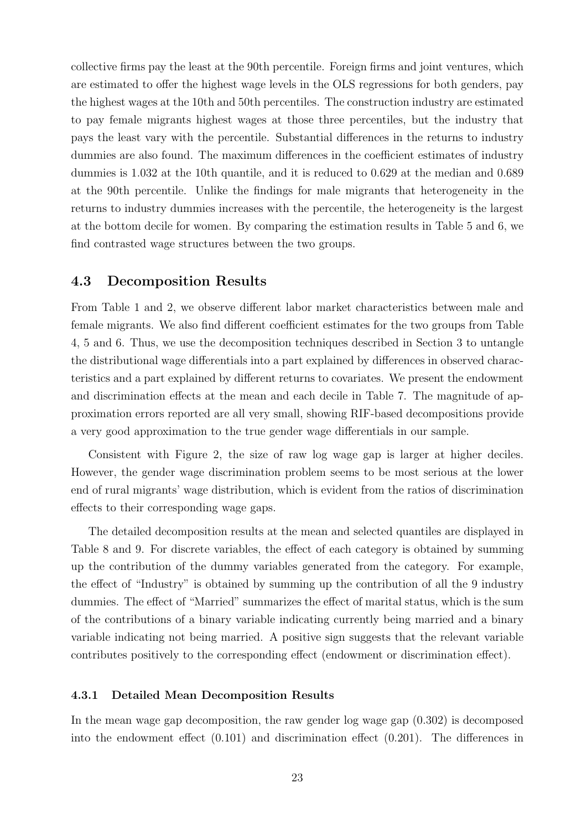collective firms pay the least at the 90th percentile. Foreign firms and joint ventures, which are estimated to offer the highest wage levels in the OLS regressions for both genders, pay the highest wages at the 10th and 50th percentiles. The construction industry are estimated to pay female migrants highest wages at those three percentiles, but the industry that pays the least vary with the percentile. Substantial differences in the returns to industry dummies are also found. The maximum differences in the coefficient estimates of industry dummies is 1.032 at the 10th quantile, and it is reduced to 0.629 at the median and 0.689 at the 90th percentile. Unlike the findings for male migrants that heterogeneity in the returns to industry dummies increases with the percentile, the heterogeneity is the largest at the bottom decile for women. By comparing the estimation results in Table 5 and 6, we find contrasted wage structures between the two groups.

### 4.3 Decomposition Results

From Table 1 and 2, we observe different labor market characteristics between male and female migrants. We also find different coefficient estimates for the two groups from Table 4, 5 and 6. Thus, we use the decomposition techniques described in Section 3 to untangle the distributional wage differentials into a part explained by differences in observed characteristics and a part explained by different returns to covariates. We present the endowment and discrimination effects at the mean and each decile in Table 7. The magnitude of approximation errors reported are all very small, showing RIF-based decompositions provide a very good approximation to the true gender wage differentials in our sample.

Consistent with Figure 2, the size of raw log wage gap is larger at higher deciles. However, the gender wage discrimination problem seems to be most serious at the lower end of rural migrants' wage distribution, which is evident from the ratios of discrimination effects to their corresponding wage gaps.

The detailed decomposition results at the mean and selected quantiles are displayed in Table 8 and 9. For discrete variables, the effect of each category is obtained by summing up the contribution of the dummy variables generated from the category. For example, the effect of "Industry" is obtained by summing up the contribution of all the 9 industry dummies. The effect of "Married" summarizes the effect of marital status, which is the sum of the contributions of a binary variable indicating currently being married and a binary variable indicating not being married. A positive sign suggests that the relevant variable contributes positively to the corresponding effect (endowment or discrimination effect).

#### 4.3.1 Detailed Mean Decomposition Results

In the mean wage gap decomposition, the raw gender log wage gap (0.302) is decomposed into the endowment effect (0.101) and discrimination effect (0.201). The differences in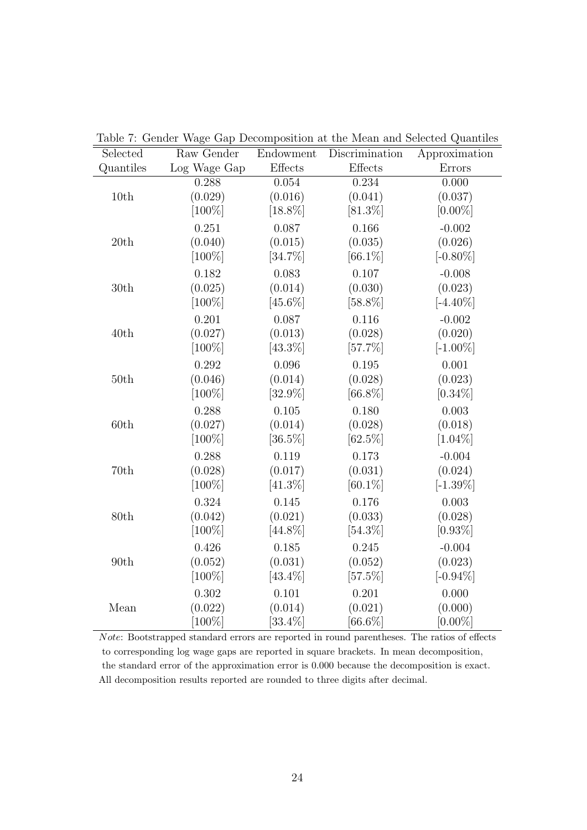| Selected  | Raw Gender   | Endowment         | Discrimination | Approximation |
|-----------|--------------|-------------------|----------------|---------------|
| Quantiles | Log Wage Gap | $E \text{ffects}$ | Effects        | Errors        |
|           | 0.288        | 0.054             | 0.234          | 0.000         |
| 10th      | (0.029)      | (0.016)           | (0.041)        | (0.037)       |
|           | $[100\%]$    | $[18.8\%]$        | $[81.3\%]$     | $[0.00\%]$    |
|           | 0.251        | 0.087             | 0.166          | $-0.002$      |
| 20th      | (0.040)      | (0.015)           | (0.035)        | (0.026)       |
|           | $[100\%]$    | $[34.7\%]$        | $[66.1\%]$     | $[-0.80\%]$   |
|           | 0.182        | 0.083             | 0.107          | $-0.008$      |
| 30th      | (0.025)      | (0.014)           | (0.030)        | (0.023)       |
|           | $[100\%]$    | $[45.6\%]$        | $[58.8\%]$     | $[-4.40\%]$   |
|           | 0.201        | 0.087             | 0.116          | $-0.002$      |
| 40th      | (0.027)      | (0.013)           | (0.028)        | (0.020)       |
|           | $[100\%]$    | $[43.3\%]$        | $[57.7\%]$     | $[-1.00\%]$   |
|           | 0.292        | 0.096             | 0.195          | 0.001         |
| 50th      | (0.046)      | (0.014)           | (0.028)        | (0.023)       |
|           | $[100\%]$    | $[32.9\%]$        | $[66.8\%]$     | $[0.34\%]$    |
|           | 0.288        | 0.105             | 0.180          | 0.003         |
| 60th      | (0.027)      | (0.014)           | (0.028)        | (0.018)       |
|           | $[100\%]$    | $[36.5\%]$        | $[62.5\%]$     | $[1.04\%]$    |
|           | 0.288        | 0.119             | 0.173          | $-0.004$      |
| 70th      | (0.028)      | (0.017)           | (0.031)        | (0.024)       |
|           | $[100\%]$    | $[41.3\%]$        | $[60.1\%]$     | $[-1.39\%]$   |
|           | 0.324        | 0.145             | 0.176          | 0.003         |
| 80th      | (0.042)      | (0.021)           | (0.033)        | (0.028)       |
|           | $[100\%]$    | $[44.8\%]$        | $[54.3\%]$     | $[0.93\%]$    |
|           | 0.426        | 0.185             | 0.245          | $-0.004$      |
| 90th      | (0.052)      | (0.031)           | (0.052)        | (0.023)       |
|           | $[100\%]$    | $[43.4\%]$        | $[57.5\%]$     | $[-0.94\%]$   |
|           | 0.302        | 0.101             | 0.201          | 0.000         |
| Mean      | (0.022)      | (0.014)           | (0.021)        | (0.000)       |
|           | $[100\%]$    | $[33.4\%]$        | $[66.6\%]$     | $[0.00\%]$    |

Table 7: Gender Wage Gap Decomposition at the Mean and Selected Quantiles

Note: Bootstrapped standard errors are reported in round parentheses. The ratios of effects to corresponding log wage gaps are reported in square brackets. In mean decomposition, the standard error of the approximation error is 0.000 because the decomposition is exact. All decomposition results reported are rounded to three digits after decimal.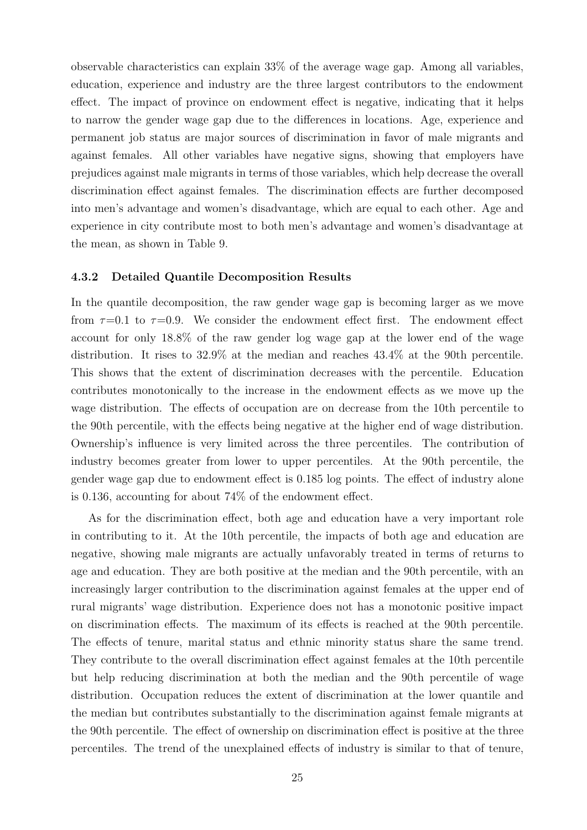observable characteristics can explain 33% of the average wage gap. Among all variables, education, experience and industry are the three largest contributors to the endowment effect. The impact of province on endowment effect is negative, indicating that it helps to narrow the gender wage gap due to the differences in locations. Age, experience and permanent job status are major sources of discrimination in favor of male migrants and against females. All other variables have negative signs, showing that employers have prejudices against male migrants in terms of those variables, which help decrease the overall discrimination effect against females. The discrimination effects are further decomposed into men's advantage and women's disadvantage, which are equal to each other. Age and experience in city contribute most to both men's advantage and women's disadvantage at the mean, as shown in Table 9.

#### 4.3.2 Detailed Quantile Decomposition Results

In the quantile decomposition, the raw gender wage gap is becoming larger as we move from  $\tau=0.1$  to  $\tau=0.9$ . We consider the endowment effect first. The endowment effect account for only 18.8% of the raw gender log wage gap at the lower end of the wage distribution. It rises to 32.9% at the median and reaches 43.4% at the 90th percentile. This shows that the extent of discrimination decreases with the percentile. Education contributes monotonically to the increase in the endowment effects as we move up the wage distribution. The effects of occupation are on decrease from the 10th percentile to the 90th percentile, with the effects being negative at the higher end of wage distribution. Ownership's influence is very limited across the three percentiles. The contribution of industry becomes greater from lower to upper percentiles. At the 90th percentile, the gender wage gap due to endowment effect is 0.185 log points. The effect of industry alone is 0.136, accounting for about 74% of the endowment effect.

As for the discrimination effect, both age and education have a very important role in contributing to it. At the 10th percentile, the impacts of both age and education are negative, showing male migrants are actually unfavorably treated in terms of returns to age and education. They are both positive at the median and the 90th percentile, with an increasingly larger contribution to the discrimination against females at the upper end of rural migrants' wage distribution. Experience does not has a monotonic positive impact on discrimination effects. The maximum of its effects is reached at the 90th percentile. The effects of tenure, marital status and ethnic minority status share the same trend. They contribute to the overall discrimination effect against females at the 10th percentile but help reducing discrimination at both the median and the 90th percentile of wage distribution. Occupation reduces the extent of discrimination at the lower quantile and the median but contributes substantially to the discrimination against female migrants at the 90th percentile. The effect of ownership on discrimination effect is positive at the three percentiles. The trend of the unexplained effects of industry is similar to that of tenure,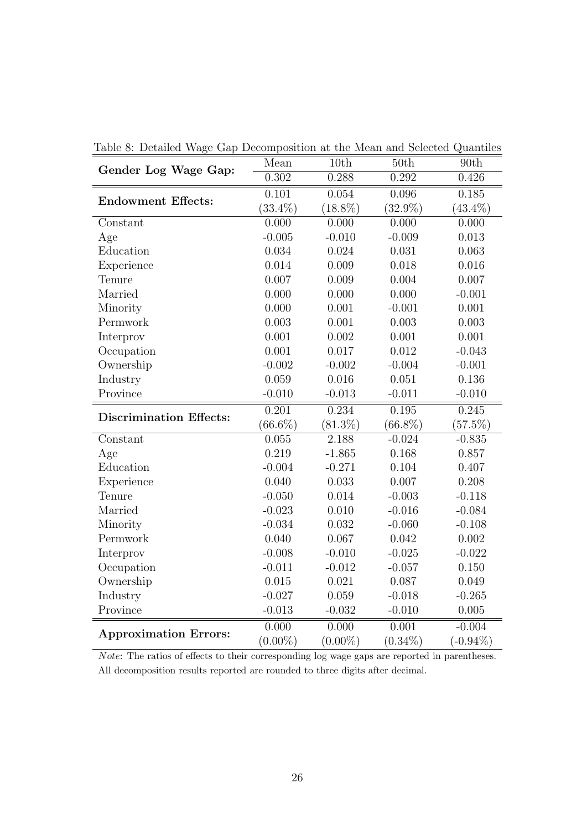| Gender Log Wage Gap:           | Mean               | 10th       | 50th       | 90th        |
|--------------------------------|--------------------|------------|------------|-------------|
|                                | 0.302              | 0.288      | 0.292      | 0.426       |
| <b>Endowment Effects:</b>      | $\overline{0.101}$ | 0.054      | 0.096      | 0.185       |
|                                | $(33.4\%)$         | $(18.8\%)$ | $(32.9\%)$ | $(43.4\%)$  |
| Constant                       | 0.000              | 0.000      | 0.000      | 0.000       |
| Age                            | $-0.005$           | $-0.010$   | $-0.009$   | 0.013       |
| Education                      | 0.034              | 0.024      | 0.031      | 0.063       |
| Experience                     | 0.014              | 0.009      | 0.018      | 0.016       |
| Tenure                         | 0.007              | 0.009      | 0.004      | 0.007       |
| Married                        | 0.000              | 0.000      | 0.000      | $-0.001$    |
| Minority                       | 0.000              | 0.001      | $-0.001$   | 0.001       |
| Permwork                       | 0.003              | 0.001      | 0.003      | 0.003       |
| Interprov                      | 0.001              | 0.002      | 0.001      | 0.001       |
| Occupation                     | 0.001              | 0.017      | 0.012      | $-0.043$    |
| Ownership                      | $-0.002$           | $-0.002$   | $-0.004$   | $-0.001$    |
| Industry                       | 0.059              | 0.016      | 0.051      | 0.136       |
| Province                       | $-0.010$           | $-0.013$   | $-0.011$   | $-0.010$    |
| <b>Discrimination Effects:</b> | 0.201              | 0.234      | 0.195      | 0.245       |
|                                | $(66.6\%)$         | $(81.3\%)$ | $(66.8\%)$ | $(57.5\%)$  |
| Constant                       | 0.055              | 2.188      | $-0.024$   | $-0.835$    |
| Age                            | 0.219              | $-1.865$   | 0.168      | 0.857       |
| Education                      | $-0.004$           | $-0.271$   | 0.104      | 0.407       |
| Experience                     | 0.040              | 0.033      | 0.007      | 0.208       |
| Tenure                         | $-0.050$           | 0.014      | $-0.003$   | $-0.118$    |
| Married                        | $-0.023$           | 0.010      | $-0.016$   | $-0.084$    |
| Minority                       | $-0.034$           | 0.032      | $-0.060$   | $-0.108$    |
| Permwork                       | 0.040              | 0.067      | 0.042      | 0.002       |
| Interprov                      | $-0.008$           | $-0.010$   | $-0.025$   | $-0.022$    |
| Occupation                     | $-0.011$           | $-0.012$   | $-0.057$   | 0.150       |
| Ownership                      | 0.015              | 0.021      | 0.087      | 0.049       |
| Industry                       | $-0.027$           | 0.059      | $-0.018$   | $-0.265$    |
| Province                       | $-0.013$           | $-0.032$   | $-0.010$   | 0.005       |
|                                | 0.000              | 0.000      | 0.001      | $-0.004$    |
| <b>Approximation Errors:</b>   | $(0.00\%)$         | $(0.00\%)$ | $(0.34\%)$ | $(-0.94\%)$ |

Table 8: Detailed Wage Gap Decomposition at the Mean and Selected Quantiles

Note: The ratios of effects to their corresponding log wage gaps are reported in parentheses. All decomposition results reported are rounded to three digits after decimal.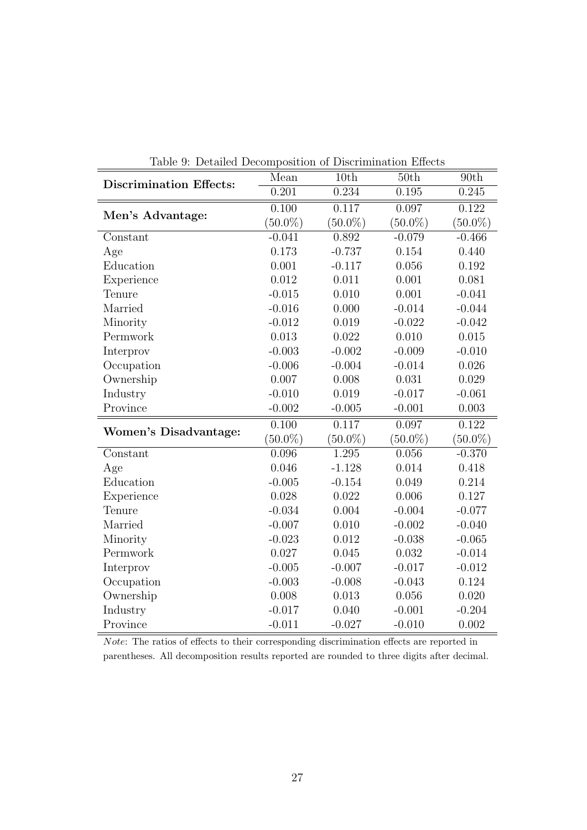| <b>Discrimination Effects:</b> | Mean       | Detailed Decomposition of Discrimination Encette<br>10th | 50th       | 90th       |
|--------------------------------|------------|----------------------------------------------------------|------------|------------|
|                                | 0.201      | 0.234                                                    | 0.195      | 0.245      |
|                                | 0.100      | 0.117                                                    | 0.097      | 0.122      |
| Men's Advantage:               | $(50.0\%)$ | $(50.0\%)$                                               | $(50.0\%)$ | $(50.0\%)$ |
| Constant                       | $-0.041$   | 0.892                                                    | $-0.079$   | $-0.466$   |
| Age                            | 0.173      | $-0.737$                                                 | 0.154      | 0.440      |
| Education                      | 0.001      | $-0.117$                                                 | 0.056      | 0.192      |
| Experience                     | 0.012      | 0.011                                                    | 0.001      | 0.081      |
| Tenure                         | $-0.015$   | 0.010                                                    | 0.001      | $-0.041$   |
| Married                        | $-0.016$   | 0.000                                                    | $-0.014$   | $-0.044$   |
| Minority                       | $-0.012$   | 0.019                                                    | $-0.022$   | $-0.042$   |
| Permwork                       | 0.013      | 0.022                                                    | 0.010      | 0.015      |
| Interprov                      | $-0.003$   | $-0.002$                                                 | $-0.009$   | $-0.010$   |
| Occupation                     | $-0.006$   | $-0.004$                                                 | $-0.014$   | 0.026      |
| Ownership                      | 0.007      | 0.008                                                    | 0.031      | 0.029      |
| Industry                       | $-0.010$   | 0.019                                                    | $-0.017$   | $-0.061$   |
| Province                       | $-0.002$   | $-0.005$                                                 | $-0.001$   | 0.003      |
|                                | 0.100      | 0.117                                                    | 0.097      | 0.122      |
| Women's Disadvantage:          | $(50.0\%)$ | $(50.0\%)$                                               | $(50.0\%)$ | $(50.0\%)$ |
| Constant                       | 0.096      | 1.295                                                    | 0.056      | $-0.370$   |
| Age                            | 0.046      | $-1.128$                                                 | 0.014      | 0.418      |
| Education                      | $-0.005$   | $-0.154$                                                 | 0.049      | 0.214      |
| Experience                     | 0.028      | 0.022                                                    | 0.006      | 0.127      |
| Tenure                         | $-0.034$   | 0.004                                                    | $-0.004$   | $-0.077$   |
| Married                        | $-0.007$   | 0.010                                                    | $-0.002$   | $-0.040$   |
| Minority                       | $-0.023$   | 0.012                                                    | $-0.038$   | $-0.065$   |
| Permwork                       | 0.027      | 0.045                                                    | 0.032      | $-0.014$   |
| Interprov                      | $-0.005$   | $-0.007$                                                 | $-0.017$   | $-0.012$   |
| Occupation                     | $-0.003$   | $-0.008$                                                 | $-0.043$   | 0.124      |
| Ownership                      | 0.008      | 0.013                                                    | 0.056      | 0.020      |
| Industry                       | $-0.017$   | 0.040                                                    | $-0.001$   | $-0.204$   |
| Province                       | $-0.011$   | $-0.027$                                                 | $-0.010$   | 0.002      |

Table 9: Detailed Decomposition of Discrimination Effects

Note: The ratios of effects to their corresponding discrimination effects are reported in parentheses. All decomposition results reported are rounded to three digits after decimal.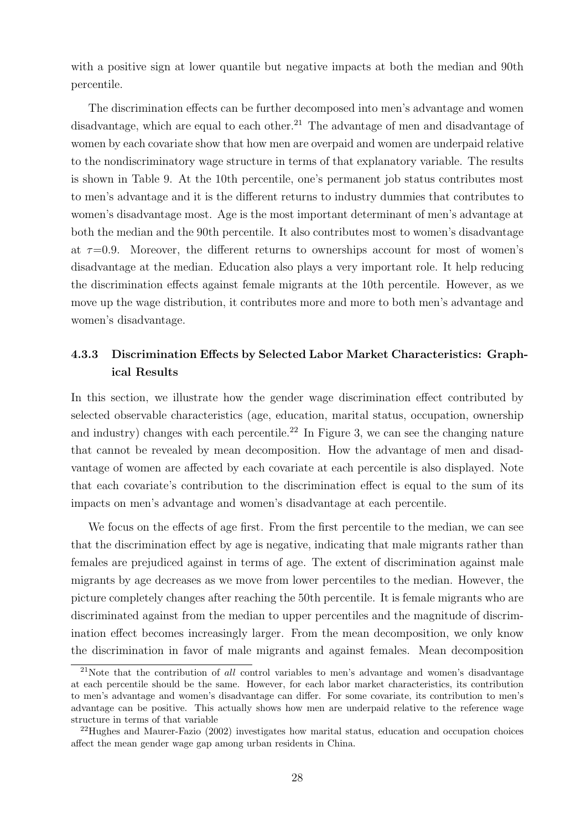with a positive sign at lower quantile but negative impacts at both the median and 90th percentile.

The discrimination effects can be further decomposed into men's advantage and women disadvantage, which are equal to each other.<sup>21</sup> The advantage of men and disadvantage of women by each covariate show that how men are overpaid and women are underpaid relative to the nondiscriminatory wage structure in terms of that explanatory variable. The results is shown in Table 9. At the 10th percentile, one's permanent job status contributes most to men's advantage and it is the different returns to industry dummies that contributes to women's disadvantage most. Age is the most important determinant of men's advantage at both the median and the 90th percentile. It also contributes most to women's disadvantage at  $\tau=0.9$ . Moreover, the different returns to ownerships account for most of women's disadvantage at the median. Education also plays a very important role. It help reducing the discrimination effects against female migrants at the 10th percentile. However, as we move up the wage distribution, it contributes more and more to both men's advantage and women's disadvantage.

### 4.3.3 Discrimination Effects by Selected Labor Market Characteristics: Graphical Results

In this section, we illustrate how the gender wage discrimination effect contributed by selected observable characteristics (age, education, marital status, occupation, ownership and industry) changes with each percentile.<sup>22</sup> In Figure 3, we can see the changing nature that cannot be revealed by mean decomposition. How the advantage of men and disadvantage of women are affected by each covariate at each percentile is also displayed. Note that each covariate's contribution to the discrimination effect is equal to the sum of its impacts on men's advantage and women's disadvantage at each percentile.

We focus on the effects of age first. From the first percentile to the median, we can see that the discrimination effect by age is negative, indicating that male migrants rather than females are prejudiced against in terms of age. The extent of discrimination against male migrants by age decreases as we move from lower percentiles to the median. However, the picture completely changes after reaching the 50th percentile. It is female migrants who are discriminated against from the median to upper percentiles and the magnitude of discrimination effect becomes increasingly larger. From the mean decomposition, we only know the discrimination in favor of male migrants and against females. Mean decomposition

<sup>&</sup>lt;sup>21</sup>Note that the contribution of all control variables to men's advantage and women's disadvantage at each percentile should be the same. However, for each labor market characteristics, its contribution to men's advantage and women's disadvantage can differ. For some covariate, its contribution to men's advantage can be positive. This actually shows how men are underpaid relative to the reference wage structure in terms of that variable

<sup>22</sup>Hughes and Maurer-Fazio (2002) investigates how marital status, education and occupation choices affect the mean gender wage gap among urban residents in China.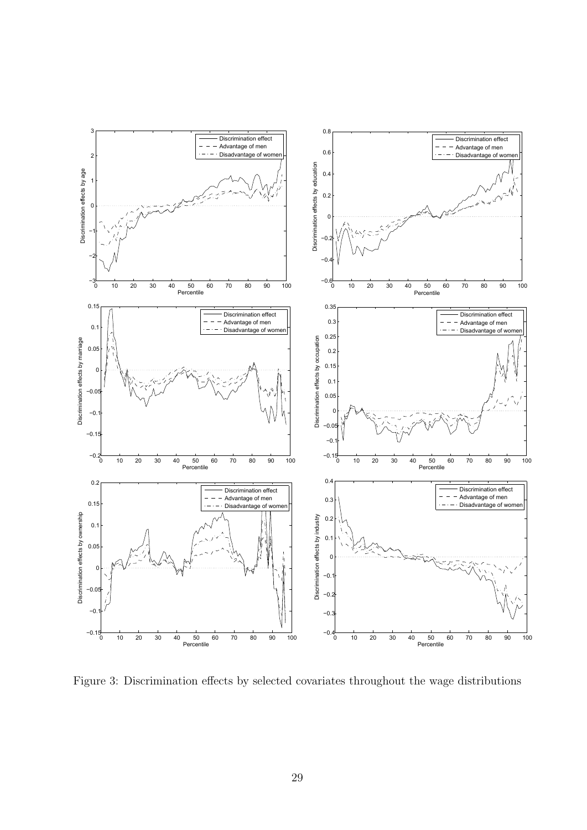

Figure 3: Discrimination effects by selected covariates throughout the wage distributions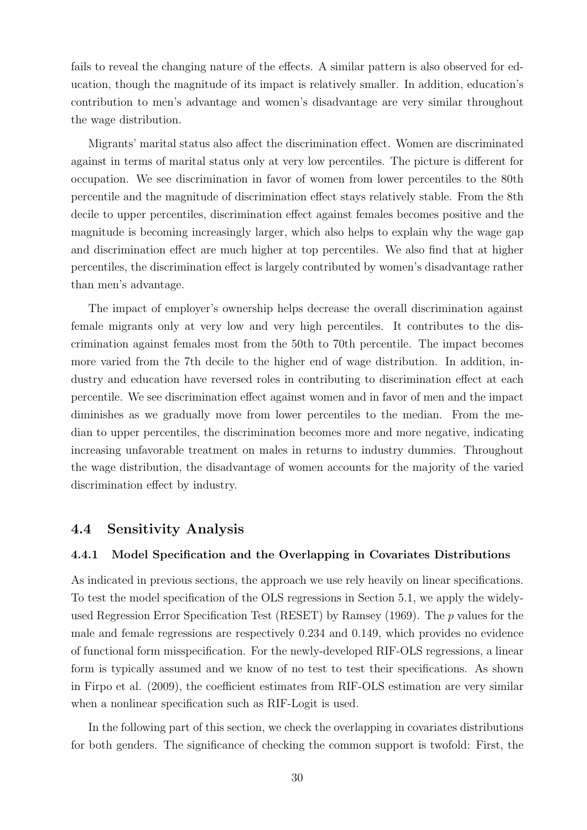fails to reveal the changing nature of the effects. A similar pattern is also observed for education, though the magnitude of its impact is relatively smaller. In addition, education's contribution to men's advantage and women's disadvantage are very similar throughout the wage distribution.

Migrants' marital status also affect the discrimination effect. Women are discriminated against in terms of marital status only at very low percentiles. The picture is different for occupation. We see discrimination in favor of women from lower percentiles to the 80th percentile and the magnitude of discrimination effect stays relatively stable. From the 8th decile to upper percentiles, discrimination effect against females becomes positive and the magnitude is becoming increasingly larger, which also helps to explain why the wage gap and discrimination effect are much higher at top percentiles. We also find that at higher percentiles, the discrimination effect is largely contributed by women's disadvantage rather than men's advantage.

The impact of employer's ownership helps decrease the overall discrimination against female migrants only at very low and very high percentiles. It contributes to the discrimination against females most from the 50th to 70th percentile. The impact becomes more varied from the 7th decile to the higher end of wage distribution. In addition, industry and education have reversed roles in contributing to discrimination effect at each percentile. We see discrimination effect against women and in favor of men and the impact diminishes as we gradually move from lower percentiles to the median. From the median to upper percentiles, the discrimination becomes more and more negative, indicating increasing unfavorable treatment on males in returns to industry dummies. Throughout the wage distribution, the disadvantage of women accounts for the majority of the varied discrimination effect by industry.

### 4.4 Sensitivity Analysis

#### 4.4.1 Model Specification and the Overlapping in Covariates Distributions

As indicated in previous sections, the approach we use rely heavily on linear specifications. To test the model specification of the OLS regressions in Section 5.1, we apply the widelyused Regression Error Specification Test (RESET) by Ramsey (1969). The p values for the male and female regressions are respectively 0.234 and 0.149, which provides no evidence of functional form misspecification. For the newly-developed RIF-OLS regressions, a linear form is typically assumed and we know of no test to test their specifications. As shown in Firpo et al. (2009), the coefficient estimates from RIF-OLS estimation are very similar when a nonlinear specification such as RIF-Logit is used.

In the following part of this section, we check the overlapping in covariates distributions for both genders. The significance of checking the common support is twofold: First, the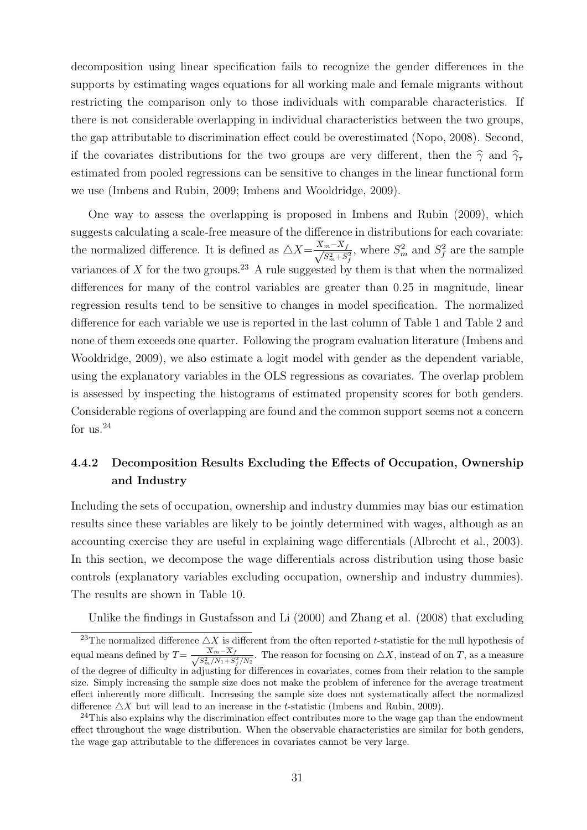decomposition using linear specification fails to recognize the gender differences in the supports by estimating wages equations for all working male and female migrants without restricting the comparison only to those individuals with comparable characteristics. If there is not considerable overlapping in individual characteristics between the two groups, the gap attributable to discrimination effect could be overestimated (Nopo, 2008). Second, if the covariates distributions for the two groups are very different, then the  $\hat{\gamma}$  and  $\hat{\gamma}_{\tau}$ estimated from pooled regressions can be sensitive to changes in the linear functional form we use (Imbens and Rubin, 2009; Imbens and Wooldridge, 2009).

One way to assess the overlapping is proposed in Imbens and Rubin (2009), which suggests calculating a scale-free measure of the difference in distributions for each covariate: the normalized difference. It is defined as  $\triangle X = \frac{X_m - X_f}{\sqrt{C^2 - X_f}}$  $\frac{m-X_f}{S_m^2+S_f^2}$ , where  $S_m^2$  and  $S_f^2$  are the sample variances of X for the two groups.<sup>23</sup> A rule suggested by them is that when the normalized differences for many of the control variables are greater than 0.25 in magnitude, linear regression results tend to be sensitive to changes in model specification. The normalized difference for each variable we use is reported in the last column of Table 1 and Table 2 and none of them exceeds one quarter. Following the program evaluation literature (Imbens and Wooldridge, 2009), we also estimate a logit model with gender as the dependent variable, using the explanatory variables in the OLS regressions as covariates. The overlap problem is assessed by inspecting the histograms of estimated propensity scores for both genders. Considerable regions of overlapping are found and the common support seems not a concern for us. $^{24}$ 

### 4.4.2 Decomposition Results Excluding the Effects of Occupation, Ownership and Industry

Including the sets of occupation, ownership and industry dummies may bias our estimation results since these variables are likely to be jointly determined with wages, although as an accounting exercise they are useful in explaining wage differentials (Albrecht et al., 2003). In this section, we decompose the wage differentials across distribution using those basic controls (explanatory variables excluding occupation, ownership and industry dummies). The results are shown in Table 10.

Unlike the findings in Gustafsson and Li (2000) and Zhang et al. (2008) that excluding

<sup>&</sup>lt;sup>23</sup>The normalized difference  $\triangle X$  is different from the often reported t-statistic for the null hypothesis of equal means defined by  $T=\frac{X_m-X_f}{\sqrt{C^2+M+\frac{C^2}{M+\frac{C^2}{M+\frac{C^2}{M+\frac{C^2}{M+\frac{C^2}{M+\frac{C^2}{M+\frac{C^2}{M+\frac{C^2}{M+\frac{C^2}{M+\frac{C^2}{M+\frac{C^2}{M+\frac{C^2}{M+\frac{C^2}{M+\frac{C^2}{M+\frac{C^2}{M+\frac{C^2}{M+\frac{C^2}{M+\frac{C^2}{M+\frac{C^2}{M+\frac{C^2}{M+\frac{C^2}{M+\frac{C^2}{M+\frac{C$  $\frac{X_m - X_f}{S_m^2/N_1 + S_f^2/N_2}$ . The reason for focusing on  $\triangle X$ , instead of on T, as a measure of the degree of difficulty in adjusting for differences in covariates, comes from their relation to the sample size. Simply increasing the sample size does not make the problem of inference for the average treatment effect inherently more difficult. Increasing the sample size does not systematically affect the normalized difference  $\Delta X$  but will lead to an increase in the t-statistic (Imbens and Rubin, 2009).

 $^{24}$ This also explains why the discrimination effect contributes more to the wage gap than the endowment effect throughout the wage distribution. When the observable characteristics are similar for both genders, the wage gap attributable to the differences in covariates cannot be very large.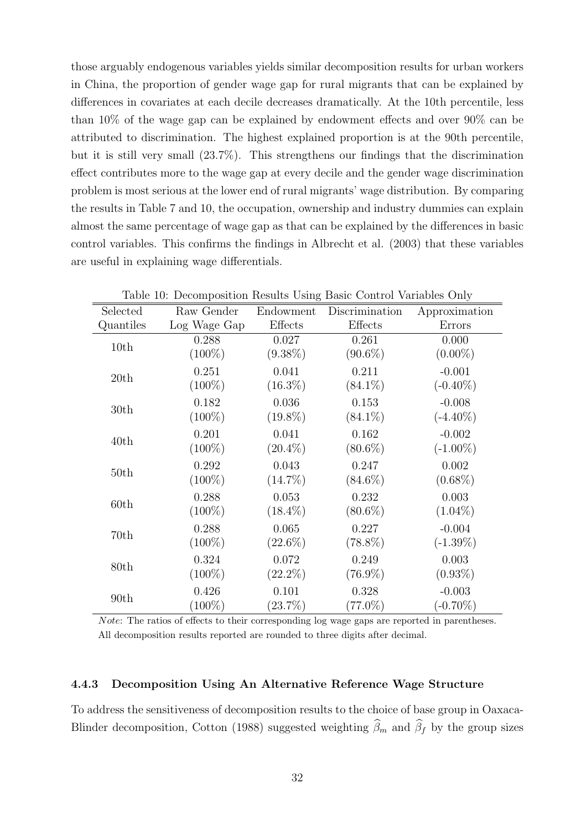those arguably endogenous variables yields similar decomposition results for urban workers in China, the proportion of gender wage gap for rural migrants that can be explained by differences in covariates at each decile decreases dramatically. At the 10th percentile, less than 10% of the wage gap can be explained by endowment effects and over 90% can be attributed to discrimination. The highest explained proportion is at the 90th percentile, but it is still very small (23.7%). This strengthens our findings that the discrimination effect contributes more to the wage gap at every decile and the gender wage discrimination problem is most serious at the lower end of rural migrants' wage distribution. By comparing the results in Table 7 and 10, the occupation, ownership and industry dummies can explain almost the same percentage of wage gap as that can be explained by the differences in basic control variables. This confirms the findings in Albrecht et al. (2003) that these variables are useful in explaining wage differentials.

| Selected         | Raw Gender   | Endowment  | Discrimination | Approximation |
|------------------|--------------|------------|----------------|---------------|
| Quantiles        | Log Wage Gap | Effects    | Effects        | Errors        |
| 10th             | 0.288        | 0.027      | 0.261          | 0.000         |
|                  | $(100\%)$    | $(9.38\%)$ | $(90.6\%)$     | $(0.00\%)$    |
| 20th             | 0.251        | 0.041      | 0.211          | $-0.001$      |
|                  | $(100\%)$    | $(16.3\%)$ | $(84.1\%)$     | $(-0.40\%)$   |
| 30 <sub>th</sub> | 0.182        | 0.036      | 0.153          | $-0.008$      |
|                  | $(100\%)$    | $(19.8\%)$ | $(84.1\%)$     | $(-4.40\%)$   |
| 40th             | 0.201        | 0.041      | 0.162          | $-0.002$      |
|                  | $(100\%)$    | $(20.4\%)$ | $(80.6\%)$     | $(-1.00\%)$   |
|                  | 0.292        | 0.043      | 0.247          | 0.002         |
| 50th             | $(100\%)$    | $(14.7\%)$ | $(84.6\%)$     | $(0.68\%)$    |
|                  | 0.288        | 0.053      | 0.232          | 0.003         |
| 60th             | $(100\%)$    | $(18.4\%)$ | $(80.6\%)$     | $(1.04\%)$    |
|                  | 0.288        | 0.065      | 0.227          | $-0.004$      |
| 70th             | $(100\%)$    | $(22.6\%)$ | $(78.8\%)$     | $(-1.39\%)$   |
|                  | 0.324        | 0.072      | 0.249          | 0.003         |
| 80th             | $(100\%)$    | $(22.2\%)$ | $(76.9\%)$     | $(0.93\%)$    |
| 90 <sub>th</sub> | 0.426        | 0.101      | 0.328          | $-0.003$      |
|                  | $(100\%)$    | $(23.7\%)$ | $(77.0\%)$     | $(-0.70\%)$   |

Table 10: Decomposition Results Using Basic Control Variables Only

Note: The ratios of effects to their corresponding log wage gaps are reported in parentheses. All decomposition results reported are rounded to three digits after decimal.

#### 4.4.3 Decomposition Using An Alternative Reference Wage Structure

To address the sensitiveness of decomposition results to the choice of base group in Oaxaca-Blinder decomposition, Cotton (1988) suggested weighting  $\widehat{\beta}_m$  and  $\widehat{\beta}_f$  by the group sizes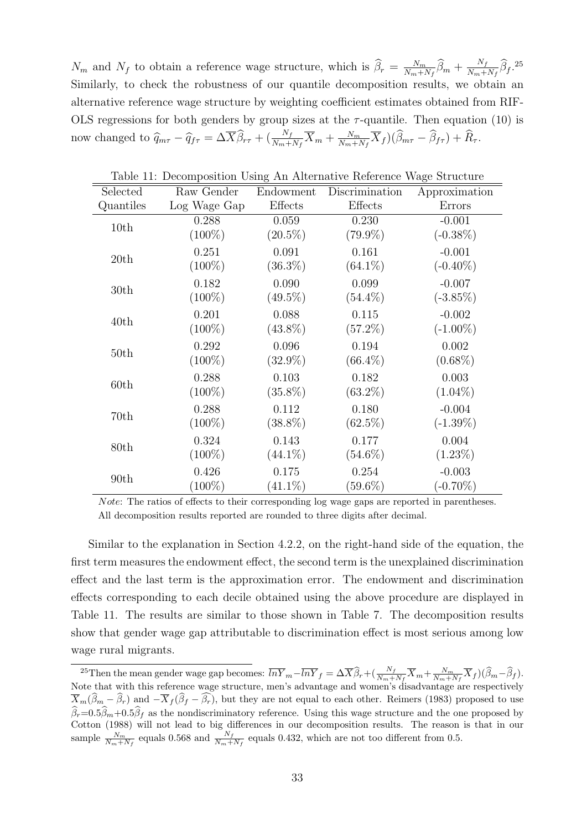$N_m$  and  $N_f$  to obtain a reference wage structure, which is  $\hat{\beta}_r = \frac{N_m}{N_m+1}$  $\frac{N_m}{N_m+N_f}\widehat{\beta}_m + \frac{N_f}{N_m+1}$  $\frac{N_f}{N_m+N_f} \hat{\beta}_f$ .<sup>25</sup> Similarly, to check the robustness of our quantile decomposition results, we obtain an alternative reference wage structure by weighting coefficient estimates obtained from RIF-OLS regressions for both genders by group sizes at the  $\tau$ -quantile. Then equation (10) is now changed to  $\hat{q}_{m\tau} - \hat{q}_{f\tau} = \Delta \overline{X} \hat{\beta}_{r\tau} + (\frac{N_f}{N_m + N_f} \overline{X}_m + \frac{N_m}{N_m + N_f})$  $\frac{N_m}{N_m+N_f}\overline{X}_f\big)(\beta_{m\tau}-\beta_{f\tau})+R_\tau.$ 

| Raw Gender   | Endowment  | Discrimination | Approximation |
|--------------|------------|----------------|---------------|
| Log Wage Gap | Effects    | Effects        | Errors        |
| 0.288        | 0.059      | 0.230          | $-0.001$      |
| $(100\%)$    | $(20.5\%)$ | $(79.9\%)$     | $(-0.38\%)$   |
| 0.251        | 0.091      | 0.161          | $-0.001$      |
| $(100\%)$    | $(36.3\%)$ | $(64.1\%)$     | $(-0.40\%)$   |
| 0.182        | 0.090      | 0.099          | $-0.007$      |
| $(100\%)$    | $(49.5\%)$ | $(54.4\%)$     | $(-3.85\%)$   |
| 0.201        | 0.088      | 0.115          | $-0.002$      |
| $(100\%)$    | $(43.8\%)$ | $(57.2\%)$     | $(-1.00\%)$   |
| 0.292        | 0.096      | 0.194          | 0.002         |
| $(100\%)$    | $(32.9\%)$ | $(66.4\%)$     | $(0.68\%)$    |
| 0.288        | 0.103      | 0.182          | 0.003         |
| $(100\%)$    | $(35.8\%)$ | $(63.2\%)$     | $(1.04\%)$    |
| 0.288        | 0.112      | 0.180          | $-0.004$      |
| $(100\%)$    | $(38.8\%)$ | $(62.5\%)$     | $(-1.39\%)$   |
| 0.324        | 0.143      | 0.177          | 0.004         |
| $(100\%)$    | $(44.1\%)$ | $(54.6\%)$     | $(1.23\%)$    |
| 0.426        | 0.175      | 0.254          | $-0.003$      |
| $(100\%)$    | $(41.1\%)$ | $(59.6\%)$     | $(-0.70\%)$   |
|              |            |                |               |

Table 11: Decomposition Using An Alternative Reference Wage Structure

Note: The ratios of effects to their corresponding log wage gaps are reported in parentheses. All decomposition results reported are rounded to three digits after decimal.

Similar to the explanation in Section 4.2.2, on the right-hand side of the equation, the first term measures the endowment effect, the second term is the unexplained discrimination effect and the last term is the approximation error. The endowment and discrimination effects corresponding to each decile obtained using the above procedure are displayed in Table 11. The results are similar to those shown in Table 7. The decomposition results show that gender wage gap attributable to discrimination effect is most serious among low wage rural migrants.

<sup>&</sup>lt;sup>25</sup>Then the mean gender wage gap becomes:  $\overline{lnY}_m - \overline{lnY}_f = \Delta \overline{X} \widehat{\beta}_r + (\frac{N_f}{N_m + N_f} \overline{X}_m + \frac{N_m}{N_m + N_f} \overline{X}_f)(\widehat{\beta}_m - \widehat{\beta}_f).$ Note that with this reference wage structure, men's advantage and women's disadvantage are respectively  $\overline{X}_m(\widehat{\beta}_m - \widehat{\beta}_r)$  and  $-\overline{X}_f(\widehat{\beta}_f - \widehat{\beta}_r)$ , but they are not equal to each other. Reimers (1983) proposed to use  $\beta_r=0.5\beta_m+0.5\beta_f$  as the nondiscriminatory reference. Using this wage structure and the one proposed by Cotton (1988) will not lead to big differences in our decomposition results. The reason is that in our sample  $\frac{N_m}{N_m+N_f}$  equals 0.568 and  $\frac{N_f}{N_m+N_f}$  equals 0.432, which are not too different from 0.5.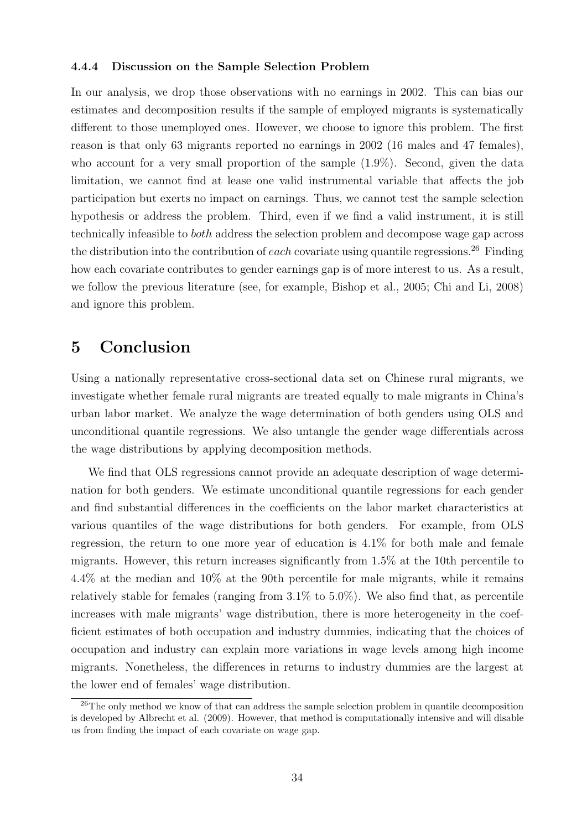#### 4.4.4 Discussion on the Sample Selection Problem

In our analysis, we drop those observations with no earnings in 2002. This can bias our estimates and decomposition results if the sample of employed migrants is systematically different to those unemployed ones. However, we choose to ignore this problem. The first reason is that only 63 migrants reported no earnings in 2002 (16 males and 47 females), who account for a very small proportion of the sample (1.9%). Second, given the data limitation, we cannot find at lease one valid instrumental variable that affects the job participation but exerts no impact on earnings. Thus, we cannot test the sample selection hypothesis or address the problem. Third, even if we find a valid instrument, it is still technically infeasible to both address the selection problem and decompose wage gap across the distribution into the contribution of each covariate using quantile regressions.<sup>26</sup> Finding how each covariate contributes to gender earnings gap is of more interest to us. As a result, we follow the previous literature (see, for example, Bishop et al., 2005; Chi and Li, 2008) and ignore this problem.

# 5 Conclusion

Using a nationally representative cross-sectional data set on Chinese rural migrants, we investigate whether female rural migrants are treated equally to male migrants in China's urban labor market. We analyze the wage determination of both genders using OLS and unconditional quantile regressions. We also untangle the gender wage differentials across the wage distributions by applying decomposition methods.

We find that OLS regressions cannot provide an adequate description of wage determination for both genders. We estimate unconditional quantile regressions for each gender and find substantial differences in the coefficients on the labor market characteristics at various quantiles of the wage distributions for both genders. For example, from OLS regression, the return to one more year of education is 4.1% for both male and female migrants. However, this return increases significantly from 1.5% at the 10th percentile to 4.4% at the median and 10% at the 90th percentile for male migrants, while it remains relatively stable for females (ranging from  $3.1\%$  to  $5.0\%$ ). We also find that, as percentile increases with male migrants' wage distribution, there is more heterogeneity in the coefficient estimates of both occupation and industry dummies, indicating that the choices of occupation and industry can explain more variations in wage levels among high income migrants. Nonetheless, the differences in returns to industry dummies are the largest at the lower end of females' wage distribution.

<sup>&</sup>lt;sup>26</sup>The only method we know of that can address the sample selection problem in quantile decomposition is developed by Albrecht et al. (2009). However, that method is computationally intensive and will disable us from finding the impact of each covariate on wage gap.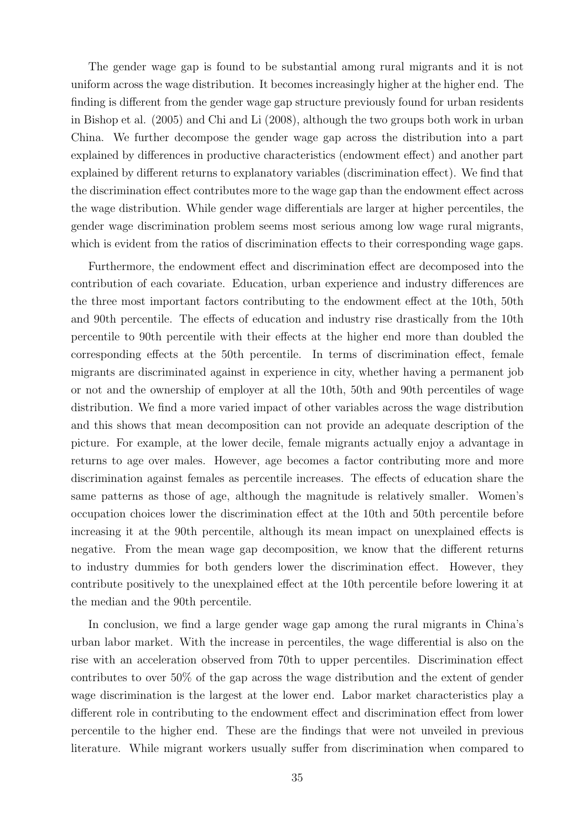The gender wage gap is found to be substantial among rural migrants and it is not uniform across the wage distribution. It becomes increasingly higher at the higher end. The finding is different from the gender wage gap structure previously found for urban residents in Bishop et al. (2005) and Chi and Li (2008), although the two groups both work in urban China. We further decompose the gender wage gap across the distribution into a part explained by differences in productive characteristics (endowment effect) and another part explained by different returns to explanatory variables (discrimination effect). We find that the discrimination effect contributes more to the wage gap than the endowment effect across the wage distribution. While gender wage differentials are larger at higher percentiles, the gender wage discrimination problem seems most serious among low wage rural migrants, which is evident from the ratios of discrimination effects to their corresponding wage gaps.

Furthermore, the endowment effect and discrimination effect are decomposed into the contribution of each covariate. Education, urban experience and industry differences are the three most important factors contributing to the endowment effect at the 10th, 50th and 90th percentile. The effects of education and industry rise drastically from the 10th percentile to 90th percentile with their effects at the higher end more than doubled the corresponding effects at the 50th percentile. In terms of discrimination effect, female migrants are discriminated against in experience in city, whether having a permanent job or not and the ownership of employer at all the 10th, 50th and 90th percentiles of wage distribution. We find a more varied impact of other variables across the wage distribution and this shows that mean decomposition can not provide an adequate description of the picture. For example, at the lower decile, female migrants actually enjoy a advantage in returns to age over males. However, age becomes a factor contributing more and more discrimination against females as percentile increases. The effects of education share the same patterns as those of age, although the magnitude is relatively smaller. Women's occupation choices lower the discrimination effect at the 10th and 50th percentile before increasing it at the 90th percentile, although its mean impact on unexplained effects is negative. From the mean wage gap decomposition, we know that the different returns to industry dummies for both genders lower the discrimination effect. However, they contribute positively to the unexplained effect at the 10th percentile before lowering it at the median and the 90th percentile.

In conclusion, we find a large gender wage gap among the rural migrants in China's urban labor market. With the increase in percentiles, the wage differential is also on the rise with an acceleration observed from 70th to upper percentiles. Discrimination effect contributes to over 50% of the gap across the wage distribution and the extent of gender wage discrimination is the largest at the lower end. Labor market characteristics play a different role in contributing to the endowment effect and discrimination effect from lower percentile to the higher end. These are the findings that were not unveiled in previous literature. While migrant workers usually suffer from discrimination when compared to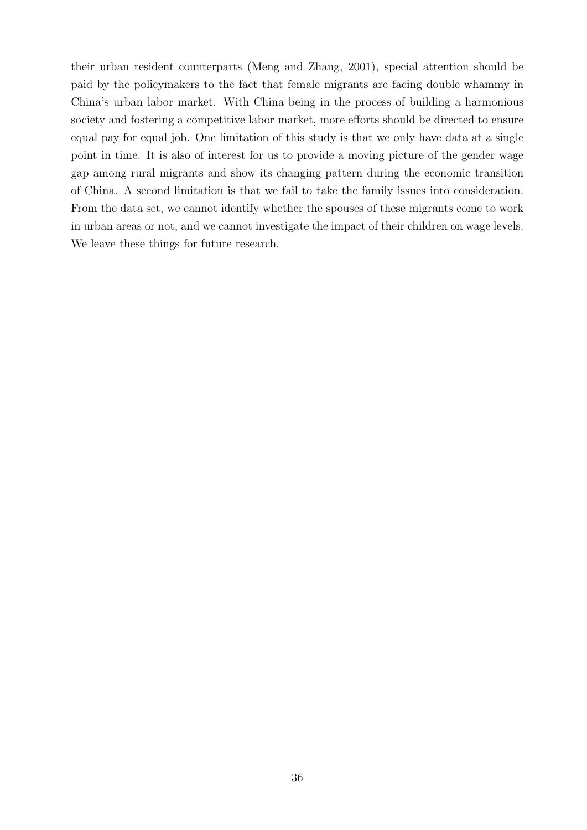their urban resident counterparts (Meng and Zhang, 2001), special attention should be paid by the policymakers to the fact that female migrants are facing double whammy in China's urban labor market. With China being in the process of building a harmonious society and fostering a competitive labor market, more efforts should be directed to ensure equal pay for equal job. One limitation of this study is that we only have data at a single point in time. It is also of interest for us to provide a moving picture of the gender wage gap among rural migrants and show its changing pattern during the economic transition of China. A second limitation is that we fail to take the family issues into consideration. From the data set, we cannot identify whether the spouses of these migrants come to work in urban areas or not, and we cannot investigate the impact of their children on wage levels. We leave these things for future research.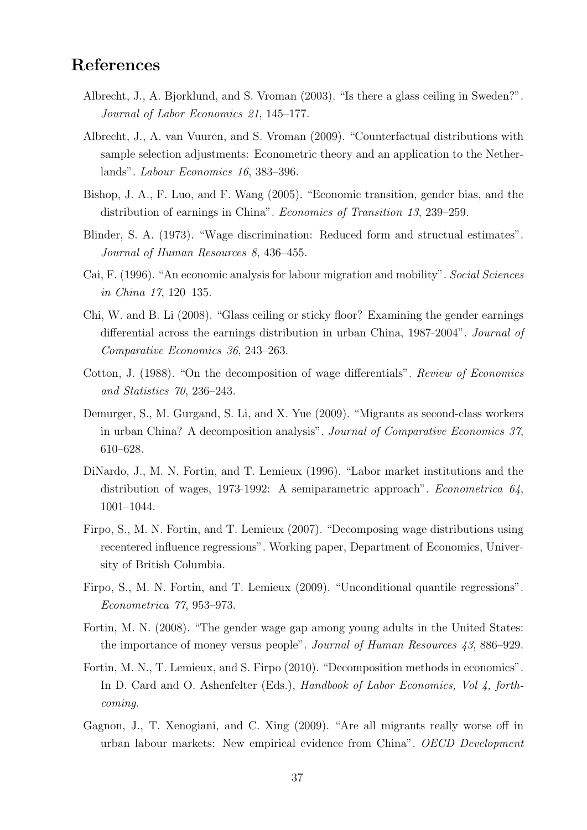# References

- Albrecht, J., A. Bjorklund, and S. Vroman (2003). "Is there a glass ceiling in Sweden?". Journal of Labor Economics 21, 145–177.
- Albrecht, J., A. van Vuuren, and S. Vroman (2009). "Counterfactual distributions with sample selection adjustments: Econometric theory and an application to the Netherlands". Labour Economics 16, 383–396.
- Bishop, J. A., F. Luo, and F. Wang (2005). "Economic transition, gender bias, and the distribution of earnings in China". Economics of Transition 13, 239–259.
- Blinder, S. A. (1973). "Wage discrimination: Reduced form and structual estimates". Journal of Human Resources 8, 436–455.
- Cai, F. (1996). "An economic analysis for labour migration and mobility". Social Sciences in China 17, 120–135.
- Chi, W. and B. Li (2008). "Glass ceiling or sticky floor? Examining the gender earnings differential across the earnings distribution in urban China, 1987-2004". Journal of Comparative Economics 36, 243–263.
- Cotton, J. (1988). "On the decomposition of wage differentials". Review of Economics and Statistics 70, 236–243.
- Demurger, S., M. Gurgand, S. Li, and X. Yue (2009). "Migrants as second-class workers in urban China? A decomposition analysis". Journal of Comparative Economics 37, 610–628.
- DiNardo, J., M. N. Fortin, and T. Lemieux (1996). "Labor market institutions and the distribution of wages, 1973-1992: A semiparametric approach". *Econometrica*  $64$ , 1001–1044.
- Firpo, S., M. N. Fortin, and T. Lemieux (2007). "Decomposing wage distributions using recentered influence regressions". Working paper, Department of Economics, University of British Columbia.
- Firpo, S., M. N. Fortin, and T. Lemieux (2009). "Unconditional quantile regressions". Econometrica 77, 953–973.
- Fortin, M. N. (2008). "The gender wage gap among young adults in the United States: the importance of money versus people". Journal of Human Resources 43, 886–929.
- Fortin, M. N., T. Lemieux, and S. Firpo (2010). "Decomposition methods in economics". In D. Card and O. Ashenfelter (Eds.), Handbook of Labor Economics, Vol 4, forthcoming.
- Gagnon, J., T. Xenogiani, and C. Xing (2009). "Are all migrants really worse off in urban labour markets: New empirical evidence from China". OECD Development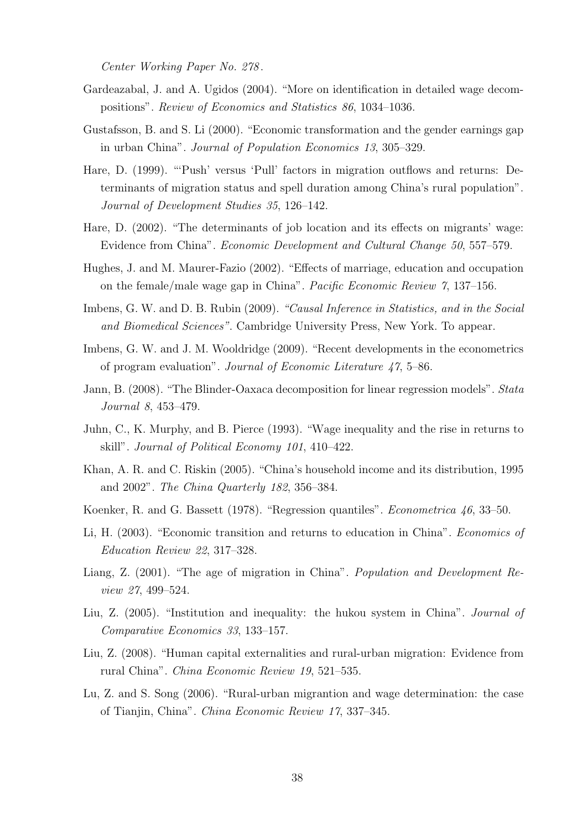Center Working Paper No. 278 .

- Gardeazabal, J. and A. Ugidos (2004). "More on identification in detailed wage decompositions". Review of Economics and Statistics 86, 1034–1036.
- Gustafsson, B. and S. Li (2000). "Economic transformation and the gender earnings gap in urban China". Journal of Population Economics 13, 305–329.
- Hare, D. (1999). "'Push' versus 'Pull' factors in migration outflows and returns: Determinants of migration status and spell duration among China's rural population". Journal of Development Studies 35, 126–142.
- Hare, D. (2002). "The determinants of job location and its effects on migrants' wage: Evidence from China". Economic Development and Cultural Change 50, 557–579.
- Hughes, J. and M. Maurer-Fazio (2002). "Effects of marriage, education and occupation on the female/male wage gap in China". Pacific Economic Review 7, 137–156.
- Imbens, G. W. and D. B. Rubin (2009). "Causal Inference in Statistics, and in the Social and Biomedical Sciences". Cambridge University Press, New York. To appear.
- Imbens, G. W. and J. M. Wooldridge (2009). "Recent developments in the econometrics of program evaluation". Journal of Economic Literature 47, 5–86.
- Jann, B. (2008). "The Blinder-Oaxaca decomposition for linear regression models". Stata Journal 8, 453–479.
- Juhn, C., K. Murphy, and B. Pierce (1993). "Wage inequality and the rise in returns to skill". Journal of Political Economy 101, 410–422.
- Khan, A. R. and C. Riskin (2005). "China's household income and its distribution, 1995 and 2002". The China Quarterly 182, 356–384.
- Koenker, R. and G. Bassett (1978). "Regression quantiles". Econometrica 46, 33–50.
- Li, H. (2003). "Economic transition and returns to education in China". Economics of Education Review 22, 317–328.
- Liang, Z. (2001). "The age of migration in China". *Population and Development Re*view 27, 499–524.
- Liu, Z. (2005). "Institution and inequality: the hukou system in China". Journal of Comparative Economics 33, 133–157.
- Liu, Z. (2008). "Human capital externalities and rural-urban migration: Evidence from rural China". China Economic Review 19, 521–535.
- Lu, Z. and S. Song (2006). "Rural-urban migrantion and wage determination: the case of Tianjin, China". China Economic Review 17, 337–345.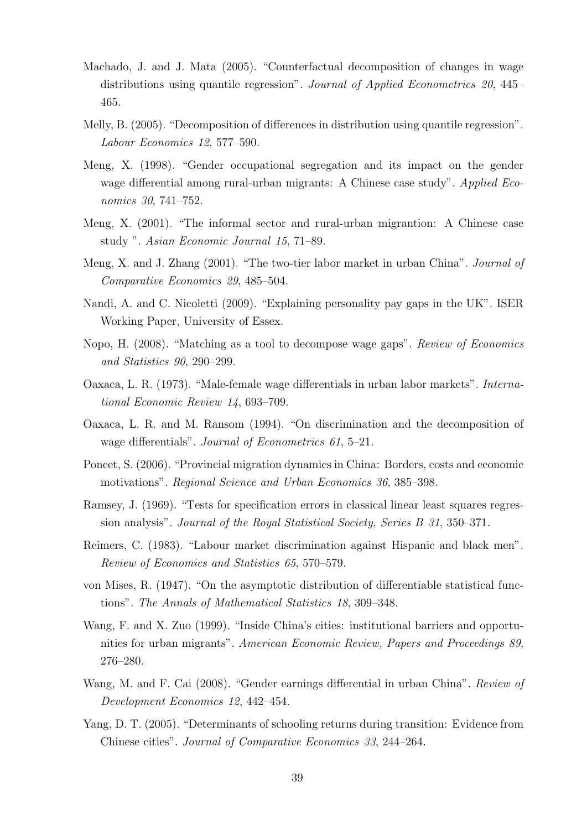- Machado, J. and J. Mata (2005). "Counterfactual decomposition of changes in wage distributions using quantile regression". Journal of Applied Econometrics 20, 445– 465.
- Melly, B. (2005). "Decomposition of differences in distribution using quantile regression". Labour Economics 12, 577–590.
- Meng, X. (1998). "Gender occupational segregation and its impact on the gender wage differential among rural-urban migrants: A Chinese case study". Applied Economics 30, 741–752.
- Meng, X. (2001). "The informal sector and rural-urban migrantion: A Chinese case study ". Asian Economic Journal 15, 71–89.
- Meng, X. and J. Zhang (2001). "The two-tier labor market in urban China". Journal of Comparative Economics 29, 485–504.
- Nandi, A. and C. Nicoletti (2009). "Explaining personality pay gaps in the UK". ISER Working Paper, University of Essex.
- Nopo, H. (2008). "Matching as a tool to decompose wage gaps". Review of Economics and Statistics 90, 290–299.
- Oaxaca, L. R. (1973). "Male-female wage differentials in urban labor markets". International Economic Review 14, 693–709.
- Oaxaca, L. R. and M. Ransom (1994). "On discrimination and the decomposition of wage differentials". Journal of Econometrics 61, 5–21.
- Poncet, S. (2006). "Provincial migration dynamics in China: Borders, costs and economic motivations". Regional Science and Urban Economics 36, 385–398.
- Ramsey, J. (1969). "Tests for specification errors in classical linear least squares regression analysis". Journal of the Royal Statistical Society, Series B 31, 350–371.
- Reimers, C. (1983). "Labour market discrimination against Hispanic and black men". Review of Economics and Statistics 65, 570–579.
- von Mises, R. (1947). "On the asymptotic distribution of differentiable statistical functions". The Annals of Mathematical Statistics 18, 309–348.
- Wang, F. and X. Zuo (1999). "Inside China's cities: institutional barriers and opportunities for urban migrants". American Economic Review, Papers and Proceedings 89, 276–280.
- Wang, M. and F. Cai (2008). "Gender earnings differential in urban China". Review of Development Economics 12, 442–454.
- Yang, D. T. (2005). "Determinants of schooling returns during transition: Evidence from Chinese cities". Journal of Comparative Economics 33, 244–264.